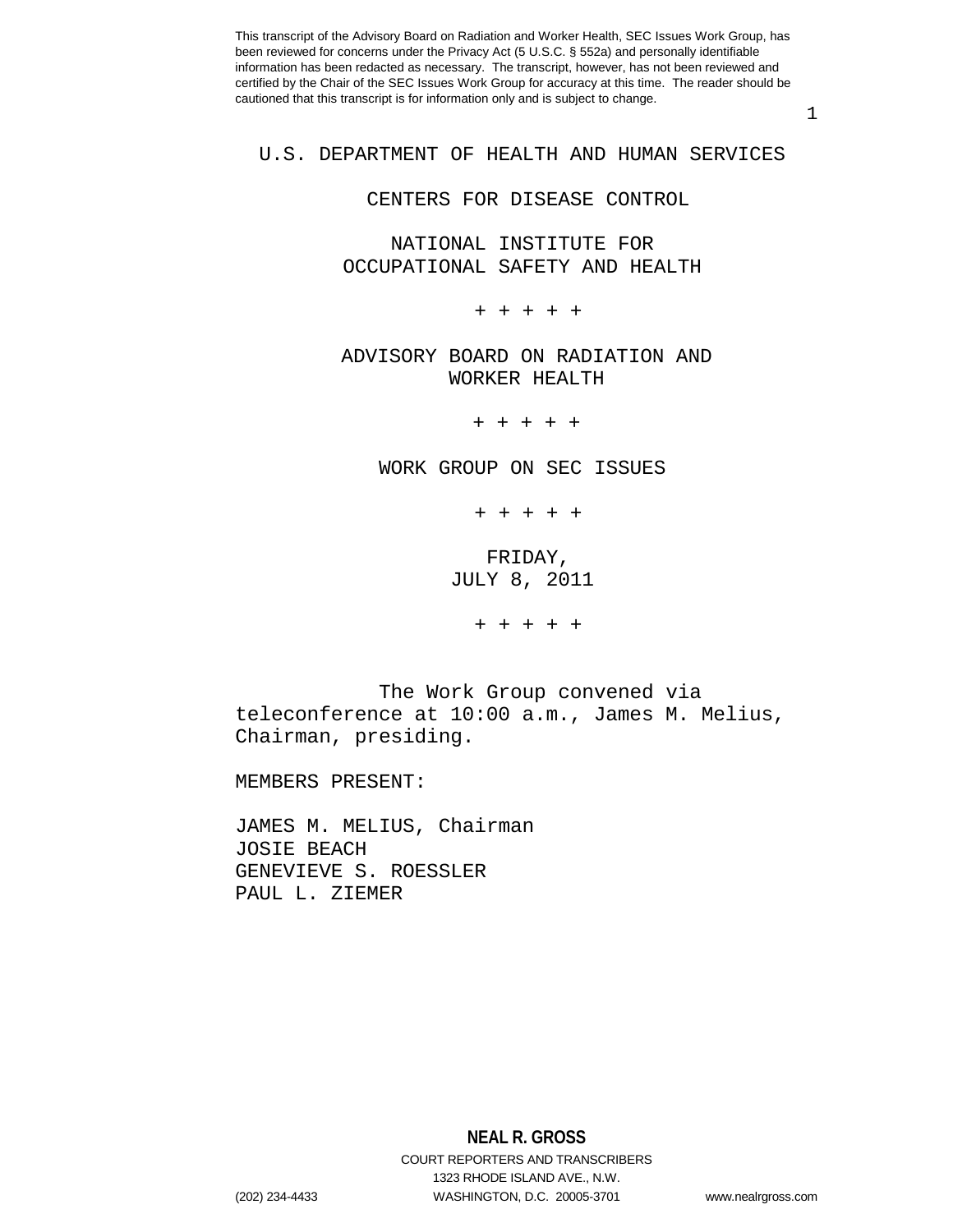1

## U.S. DEPARTMENT OF HEALTH AND HUMAN SERVICES

#### CENTERS FOR DISEASE CONTROL

 NATIONAL INSTITUTE FOR OCCUPATIONAL SAFETY AND HEALTH

+ + + + +

ADVISORY BOARD ON RADIATION AND WORKER HEALTH

+ + + + +

WORK GROUP ON SEC ISSUES

+ + + + +

 FRIDAY, JULY 8, 2011

+ + + + +

 The Work Group convened via teleconference at 10:00 a.m., James M. Melius, Chairman, presiding.

MEMBERS PRESENT:

JAMES M. MELIUS, Chairman JOSIE BEACH GENEVIEVE S. ROESSLER PAUL L. ZIEMER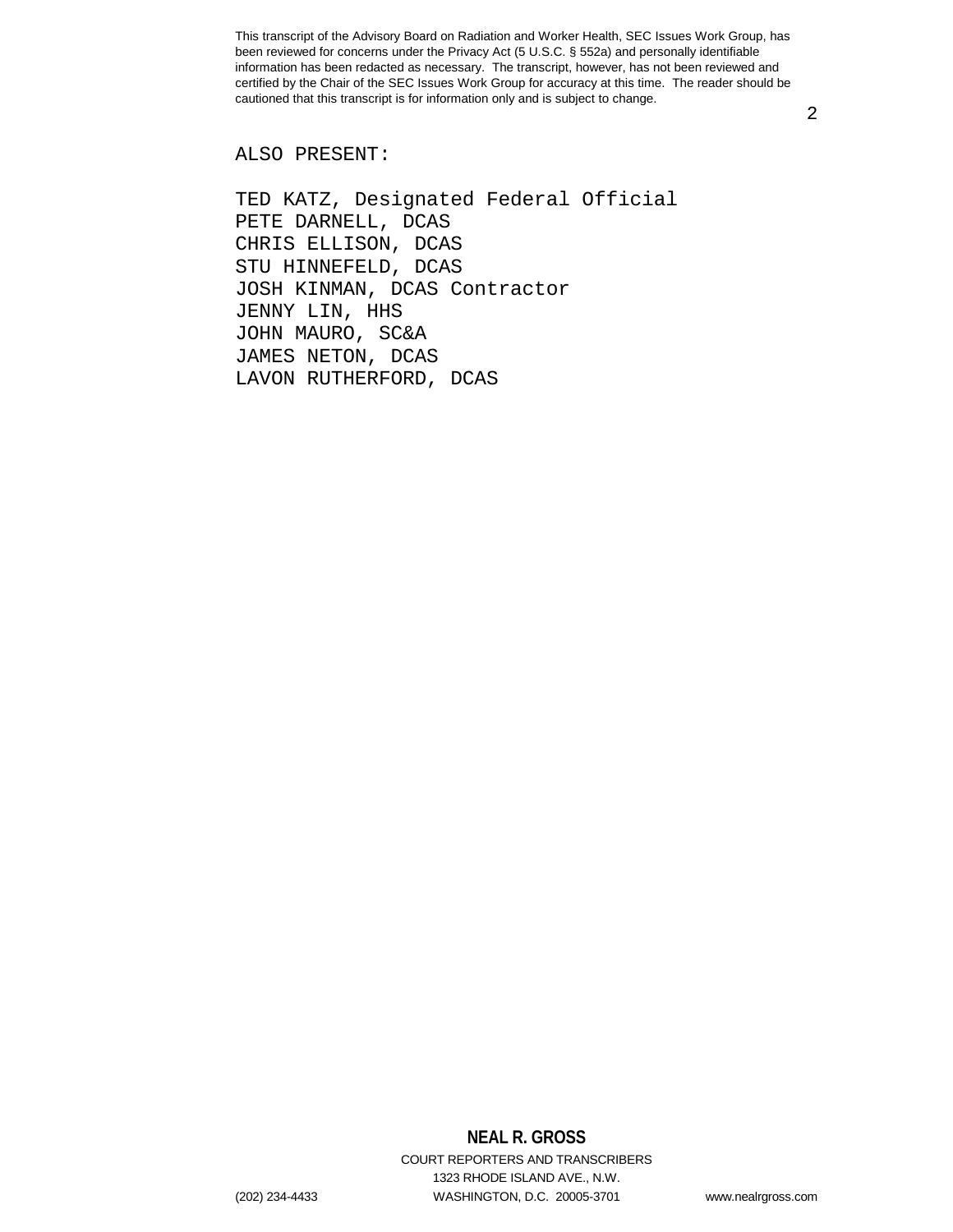2

ALSO PRESENT:

TED KATZ, Designated Federal Official PETE DARNELL, DCAS CHRIS ELLISON, DCAS STU HINNEFELD, DCAS JOSH KINMAN, DCAS Contractor JENNY LIN, HHS JOHN MAURO, SC&A JAMES NETON, DCAS LAVON RUTHERFORD, DCAS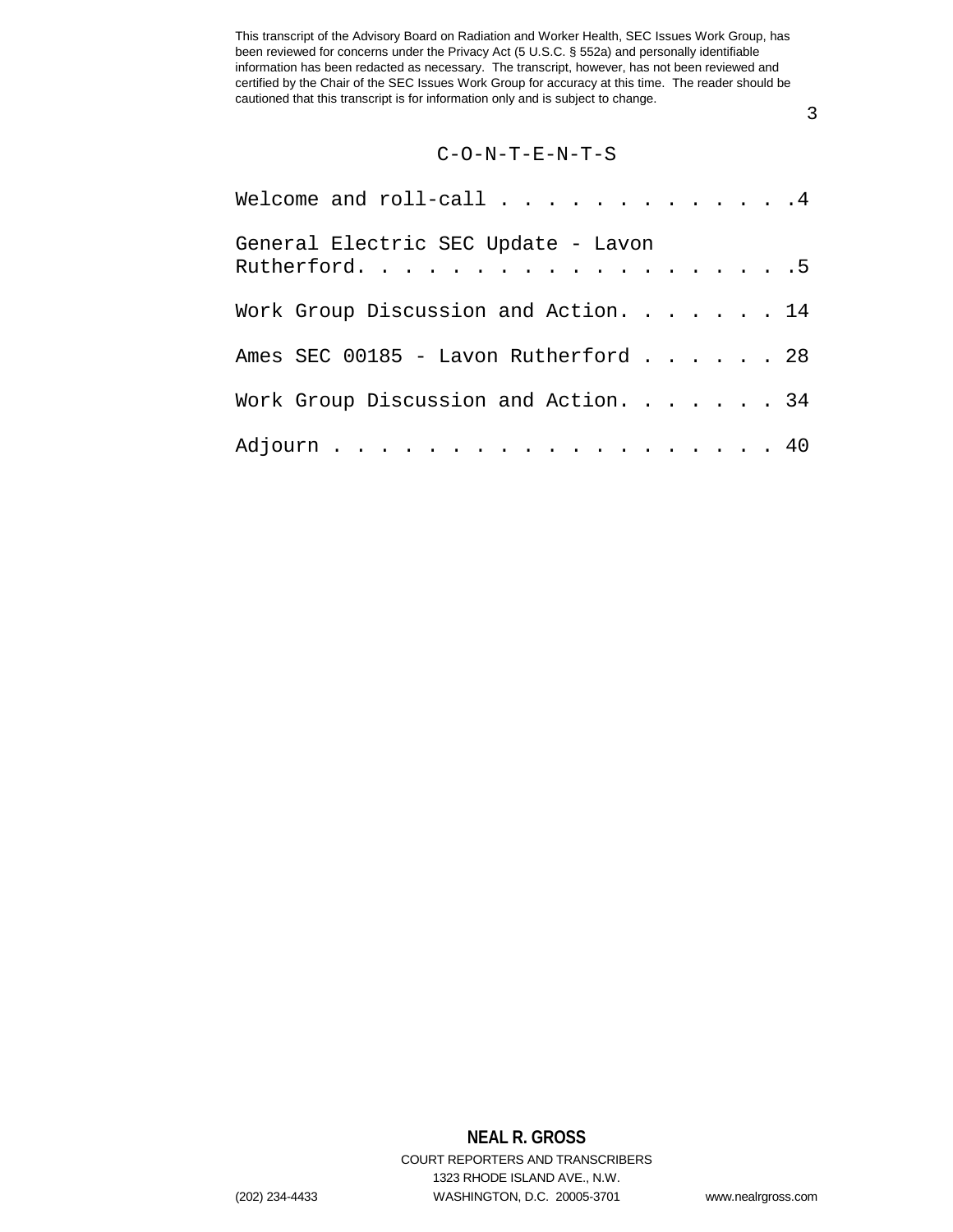3

### C-O-N-T-E-N-T-S

| Welcome and roll-call $\ldots$ 4                     |  |
|------------------------------------------------------|--|
| General Electric SEC Update - Lavon<br>Rutherford. 5 |  |
| Work Group Discussion and Action. 14                 |  |
| Ames SEC 00185 - Lavon Rutherford 28                 |  |
| Work Group Discussion and Action. 34                 |  |
| Adjourn 40                                           |  |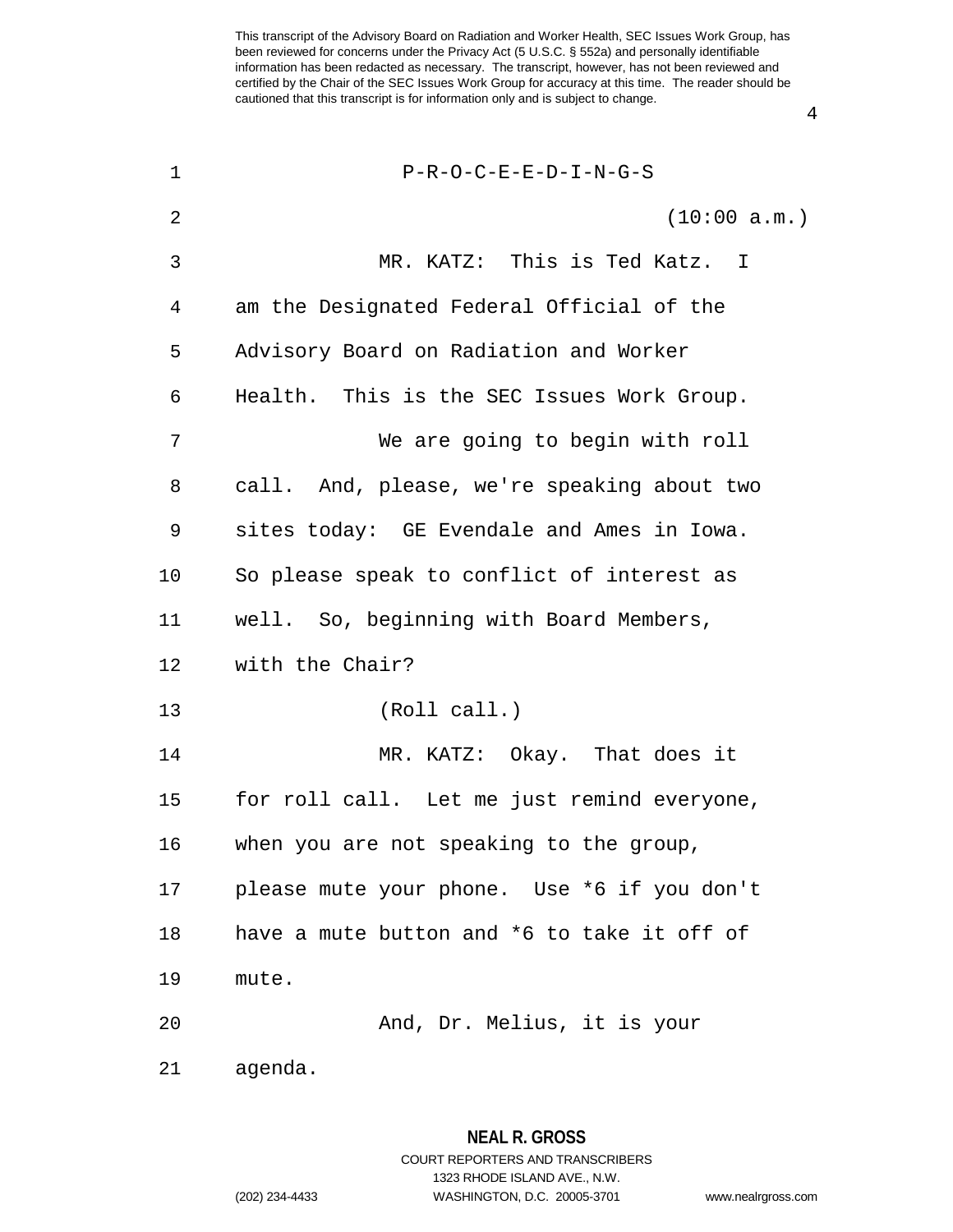| $\mathbf 1$ | $P-R-O-C-E-E-D-I-N-G-S$                     |
|-------------|---------------------------------------------|
| 2           | (10:00 a.m.)                                |
| 3           | MR. KATZ: This is Ted Katz. I               |
| 4           | am the Designated Federal Official of the   |
| 5           | Advisory Board on Radiation and Worker      |
| 6           | Health. This is the SEC Issues Work Group.  |
| 7           | We are going to begin with roll             |
| 8           | call. And, please, we're speaking about two |
| 9           | sites today: GE Evendale and Ames in Iowa.  |
| 10          | So please speak to conflict of interest as  |
| 11          | well. So, beginning with Board Members,     |
| 12          | with the Chair?                             |
| 13          | (Roll call.)                                |
| 14          | MR. KATZ: Okay. That does it                |
| 15          | for roll call. Let me just remind everyone, |
| 16          | when you are not speaking to the group,     |
| 17          | please mute your phone. Use *6 if you don't |
| 18          | have a mute button and *6 to take it off of |
| 19          | mute.                                       |
| 20          | And, Dr. Melius, it is your                 |
| 21          | agenda.                                     |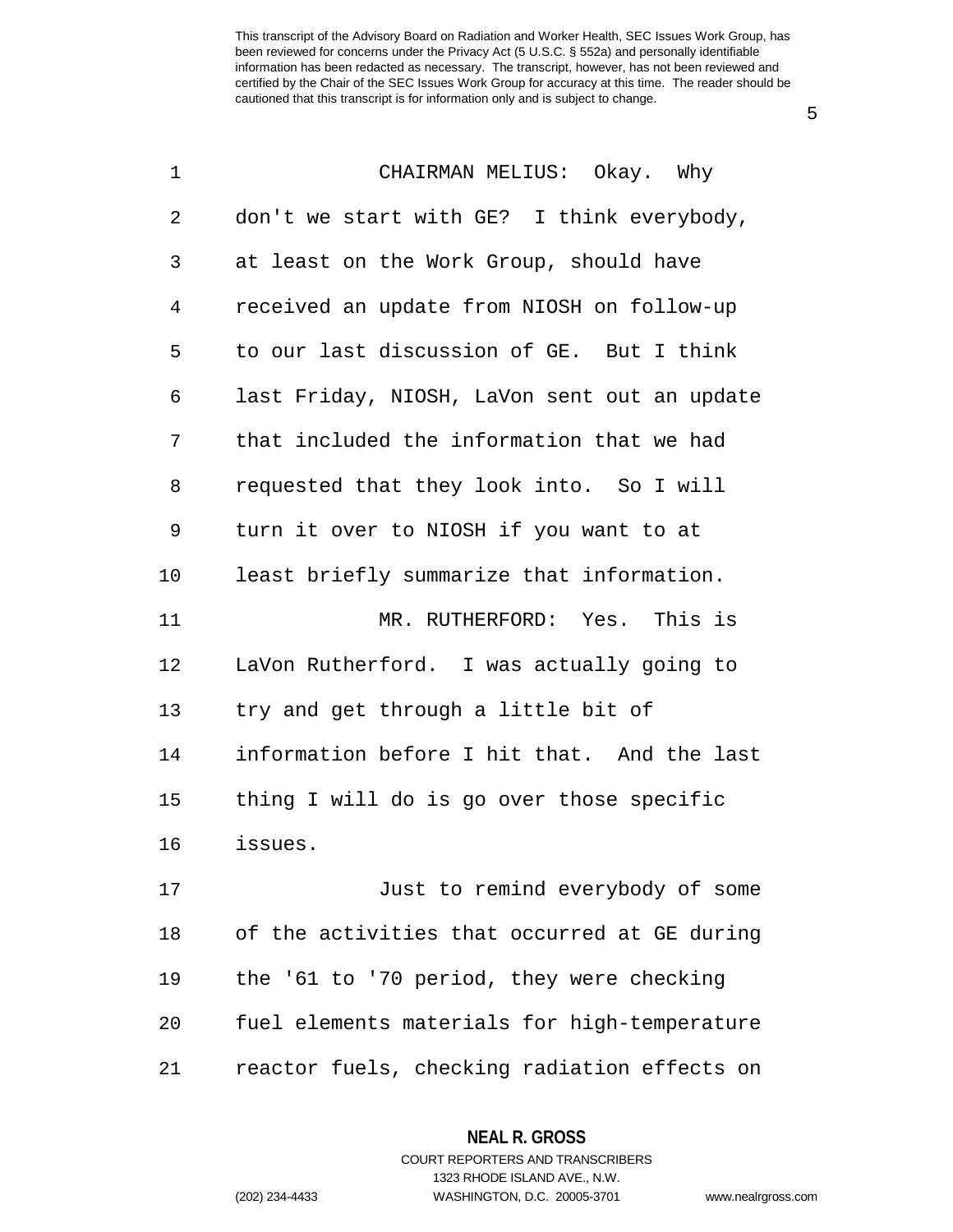5

| $\mathbf 1$ | CHAIRMAN MELIUS: Okay. Why                   |
|-------------|----------------------------------------------|
| 2           | don't we start with GE? I think everybody,   |
| 3           | at least on the Work Group, should have      |
| 4           | received an update from NIOSH on follow-up   |
| 5           | to our last discussion of GE. But I think    |
| 6           | last Friday, NIOSH, LaVon sent out an update |
| 7           | that included the information that we had    |
| 8           | requested that they look into. So I will     |
| 9           | turn it over to NIOSH if you want to at      |
| 10          | least briefly summarize that information.    |
| 11          | MR. RUTHERFORD: Yes. This is                 |
| 12          | LaVon Rutherford. I was actually going to    |
| 13          | try and get through a little bit of          |
| 14          | information before I hit that. And the last  |
| 15          | thing I will do is go over those specific    |
| 16          | issues.                                      |
| 17          | Just to remind everybody of some             |
| 18          | of the activities that occurred at GE during |
| 19          | the '61 to '70 period, they were checking    |
| 20          | fuel elements materials for high-temperature |
| 21          | reactor fuels, checking radiation effects on |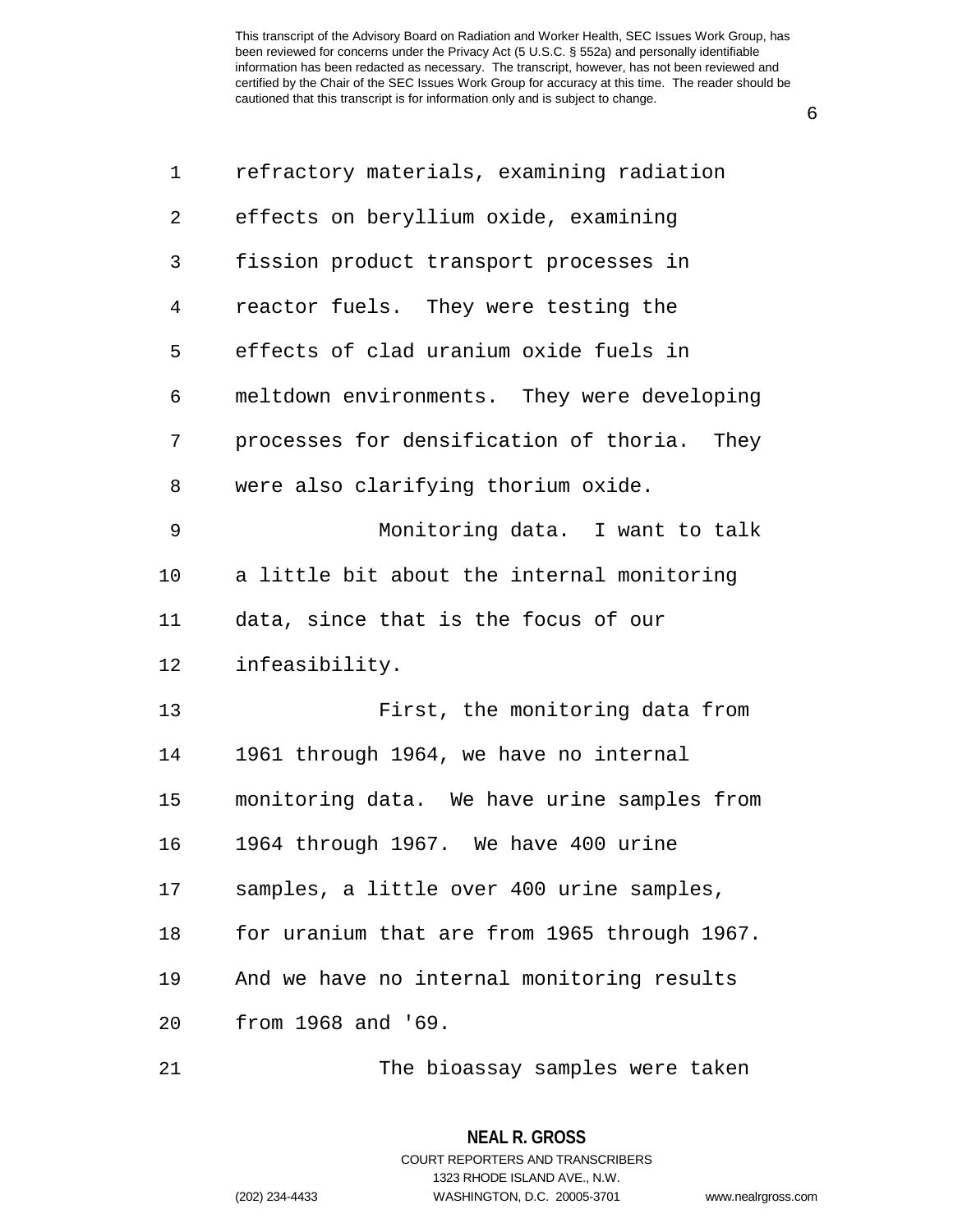6

| 1  | refractory materials, examining radiation    |
|----|----------------------------------------------|
| 2  | effects on beryllium oxide, examining        |
| 3  | fission product transport processes in       |
| 4  | reactor fuels. They were testing the         |
| 5  | effects of clad uranium oxide fuels in       |
| 6  | meltdown environments. They were developing  |
| 7  | processes for densification of thoria. They  |
| 8  | were also clarifying thorium oxide.          |
| 9  | Monitoring data. I want to talk              |
| 10 | a little bit about the internal monitoring   |
| 11 | data, since that is the focus of our         |
| 12 | infeasibility.                               |
| 13 | First, the monitoring data from              |
| 14 | 1961 through 1964, we have no internal       |
| 15 | monitoring data. We have urine samples from  |
| 16 | 1964 through 1967. We have 400 urine         |
| 17 | samples, a little over 400 urine samples,    |
| 18 | for uranium that are from 1965 through 1967. |
| 19 | And we have no internal monitoring results   |
| 20 | from 1968 and '69.                           |
| 21 | The bioassay samples were taken              |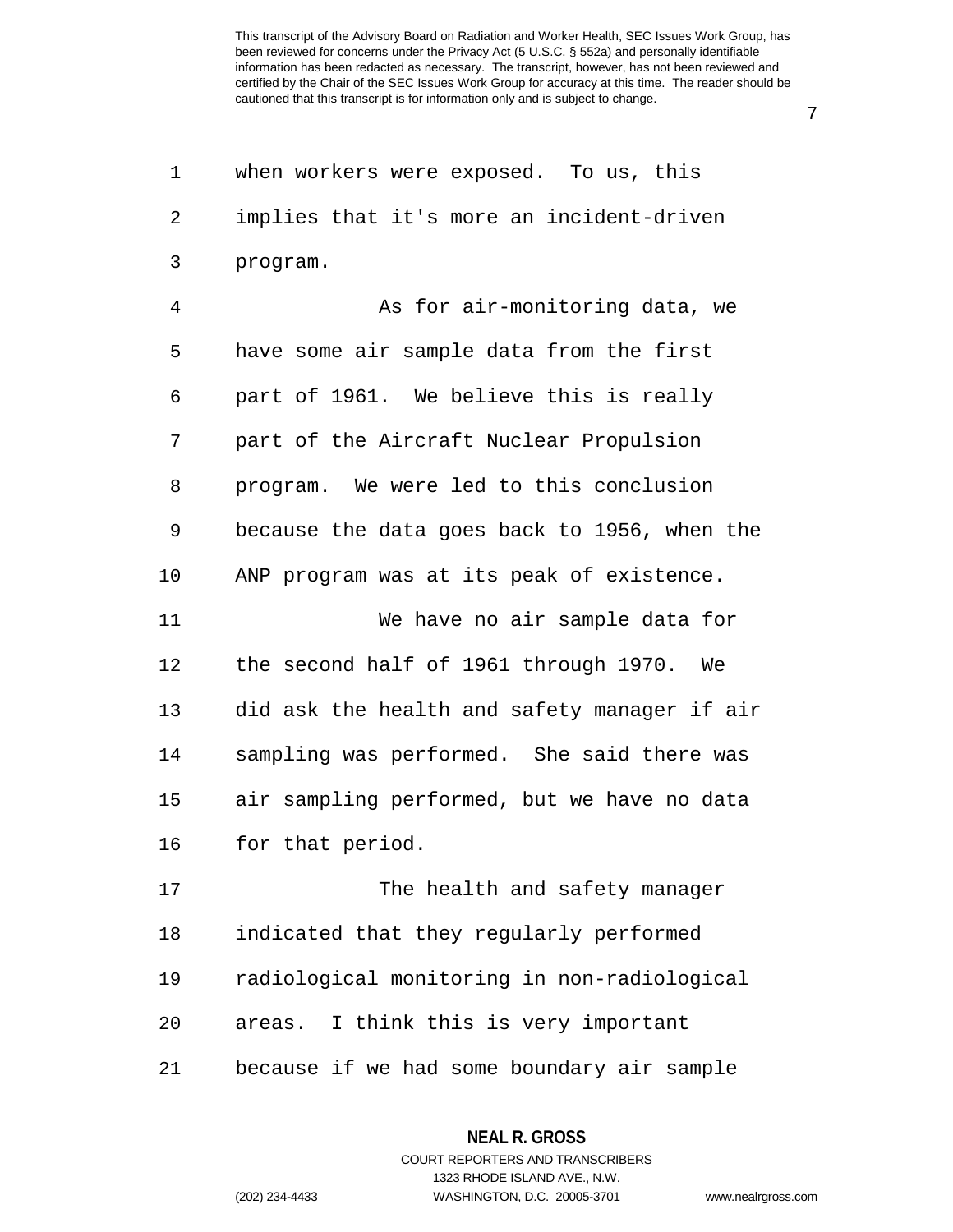1 when workers were exposed. To us, this 2 implies that it's more an incident-driven 3 program. 4 As for air-monitoring data, we 5 have some air sample data from the first 6 part of 1961. We believe this is really 7 part of the Aircraft Nuclear Propulsion 8 program. We were led to this conclusion 9 because the data goes back to 1956, when the 10 ANP program was at its peak of existence. 11 We have no air sample data for 12 the second half of 1961 through 1970. We 13 did ask the health and safety manager if air 14 sampling was performed. She said there was 15 air sampling performed, but we have no data 16 for that period. 17 The health and safety manager 18 indicated that they regularly performed 19 radiological monitoring in non-radiological 20 areas. I think this is very important

21 because if we had some boundary air sample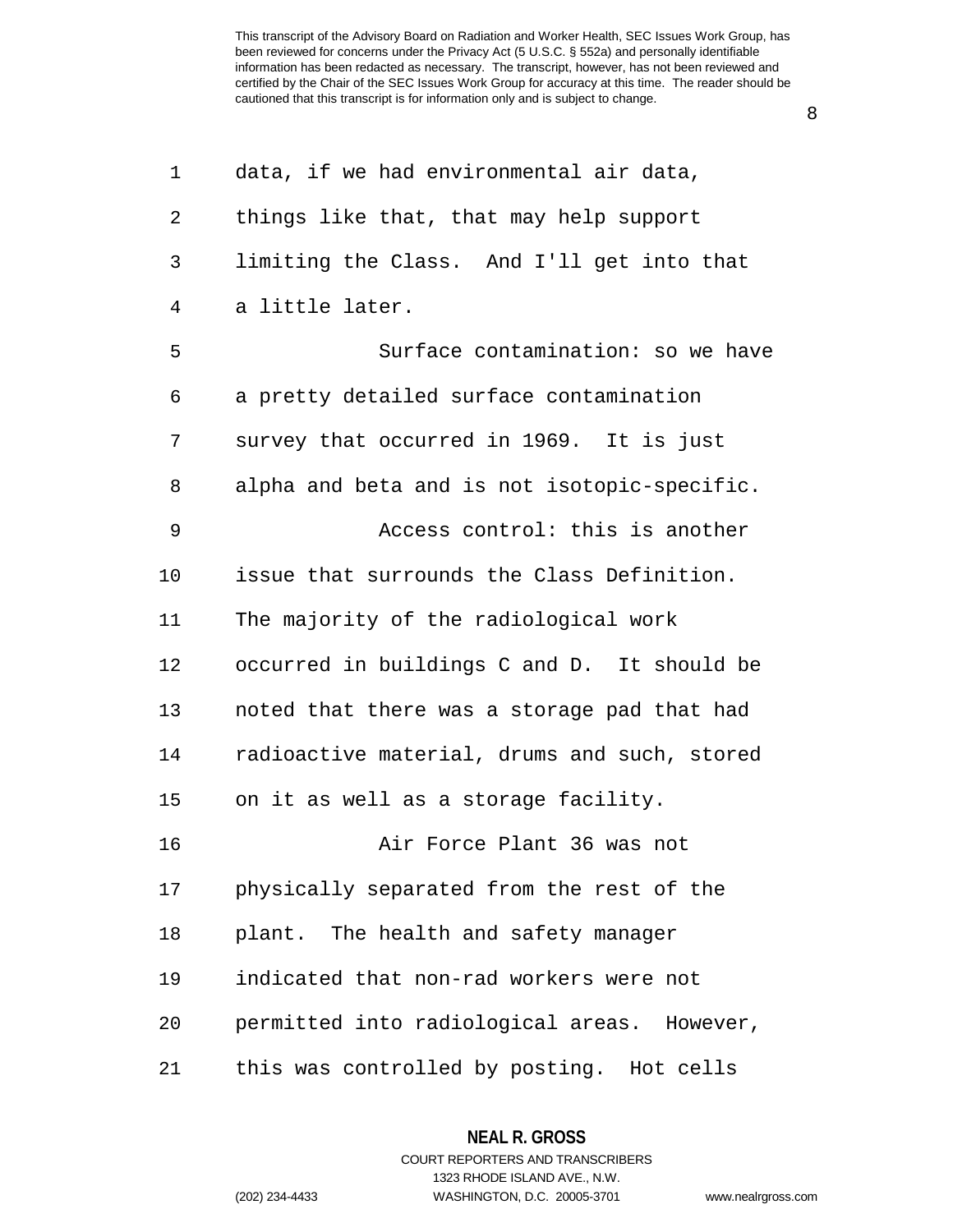8

| 1  | data, if we had environmental air data,      |
|----|----------------------------------------------|
| 2  | things like that, that may help support      |
| 3  | limiting the Class. And I'll get into that   |
| 4  | a little later.                              |
| 5  | Surface contamination: so we have            |
| 6  | a pretty detailed surface contamination      |
| 7  | survey that occurred in 1969. It is just     |
| 8  | alpha and beta and is not isotopic-specific. |
| 9  | Access control: this is another              |
| 10 | issue that surrounds the Class Definition.   |
| 11 | The majority of the radiological work        |
| 12 | occurred in buildings C and D. It should be  |
| 13 | noted that there was a storage pad that had  |
| 14 | radioactive material, drums and such, stored |
| 15 | on it as well as a storage facility.         |
| 16 | Air Force Plant 36 was not                   |
| 17 | physically separated from the rest of the    |
| 18 | plant. The health and safety manager         |
| 19 | indicated that non-rad workers were not      |
| 20 | permitted into radiological areas. However,  |
| 21 | this was controlled by posting. Hot cells    |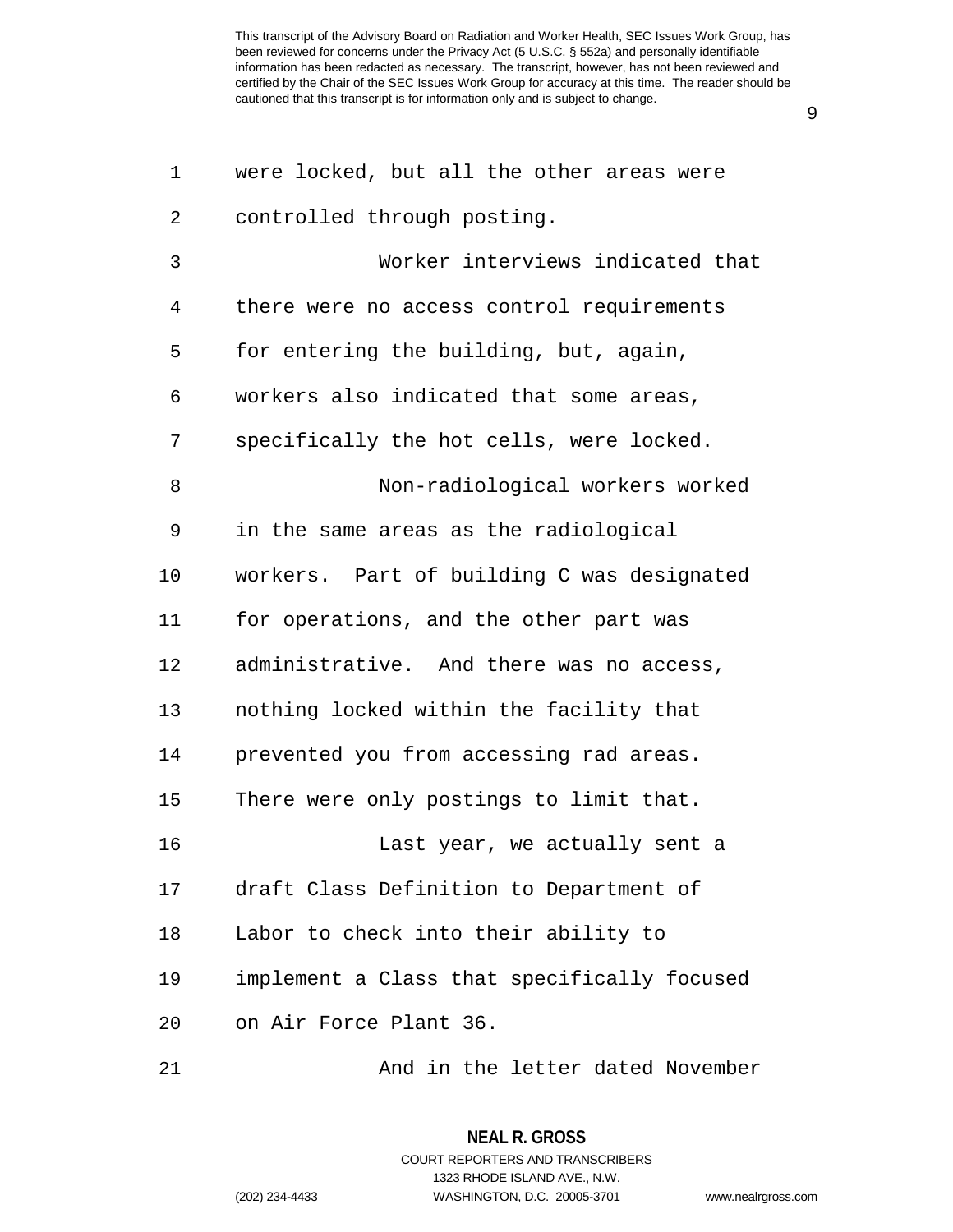9

| 1              | were locked, but all the other areas were   |
|----------------|---------------------------------------------|
| $\overline{2}$ | controlled through posting.                 |
| 3              | Worker interviews indicated that            |
| 4              | there were no access control requirements   |
| 5              | for entering the building, but, again,      |
| 6              | workers also indicated that some areas,     |
| 7              | specifically the hot cells, were locked.    |
| 8              | Non-radiological workers worked             |
| 9              | in the same areas as the radiological       |
| 10             | workers. Part of building C was designated  |
| 11             | for operations, and the other part was      |
| 12             | administrative. And there was no access,    |
| 13             | nothing locked within the facility that     |
| 14             | prevented you from accessing rad areas.     |
| 15             | There were only postings to limit that.     |
| 16             | Last year, we actually sent a               |
| 17             | draft Class Definition to Department of     |
| 18             | Labor to check into their ability to        |
| 19             | implement a Class that specifically focused |
| 20             | on Air Force Plant 36.                      |
| 21             | And in the letter dated November            |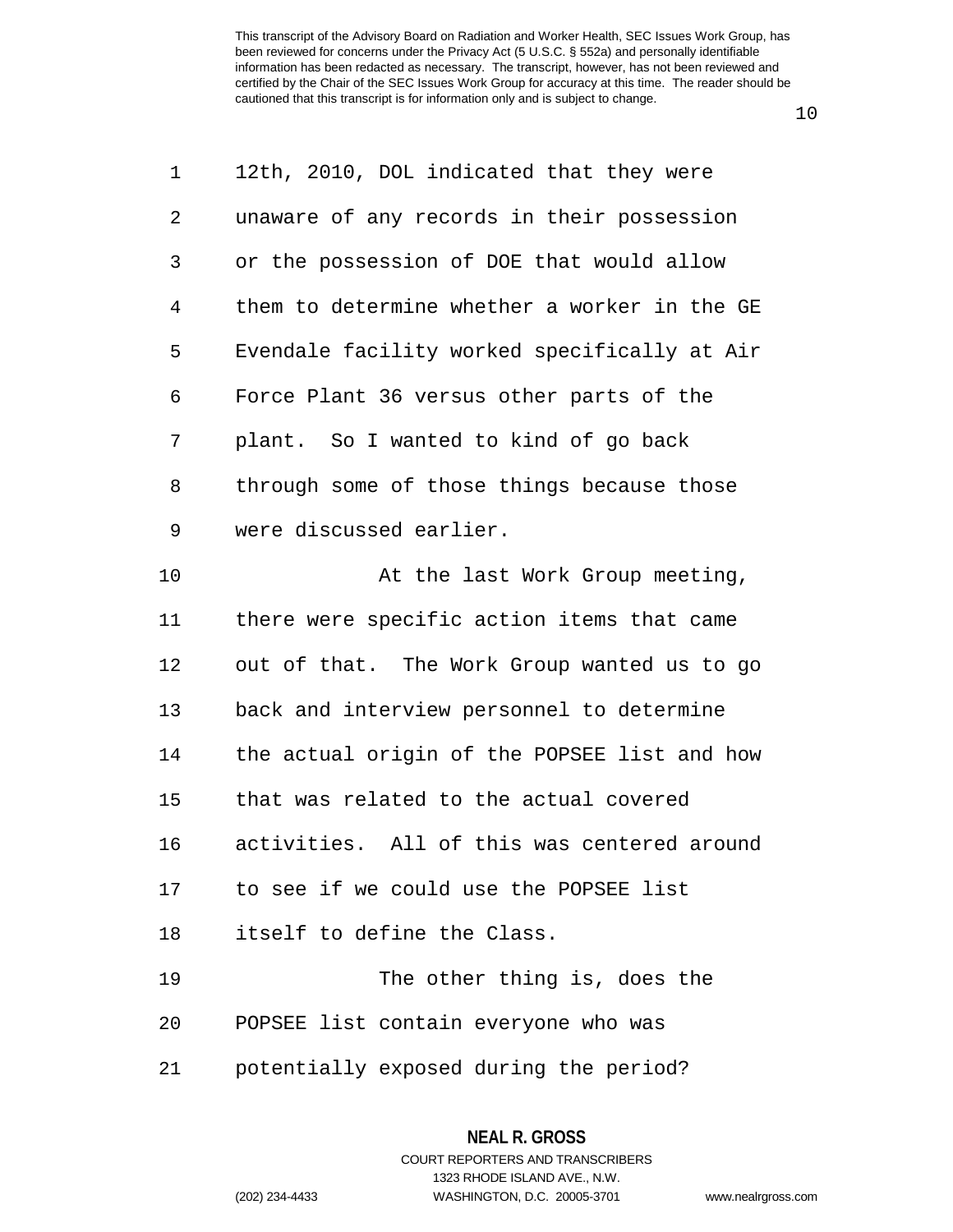10

| 1              | 12th, 2010, DOL indicated that they were     |
|----------------|----------------------------------------------|
| 2              | unaware of any records in their possession   |
| 3              | or the possession of DOE that would allow    |
| $\overline{4}$ | them to determine whether a worker in the GE |
| 5              | Evendale facility worked specifically at Air |
| 6              | Force Plant 36 versus other parts of the     |
| 7              | plant. So I wanted to kind of go back        |
| 8              | through some of those things because those   |
| $\mathsf 9$    | were discussed earlier.                      |
| 10             | At the last Work Group meeting,              |
| 11             | there were specific action items that came   |
| 12             | out of that. The Work Group wanted us to go  |
| 13             | back and interview personnel to determine    |
| 14             | the actual origin of the POPSEE list and how |
| 15             | that was related to the actual covered       |
| 16             | activities. All of this was centered around  |
|                | 17 to see if we could use the POPSEE list    |
| 18             | itself to define the Class.                  |
| 19             | The other thing is, does the                 |
| 20             | POPSEE list contain everyone who was         |

21 potentially exposed during the period?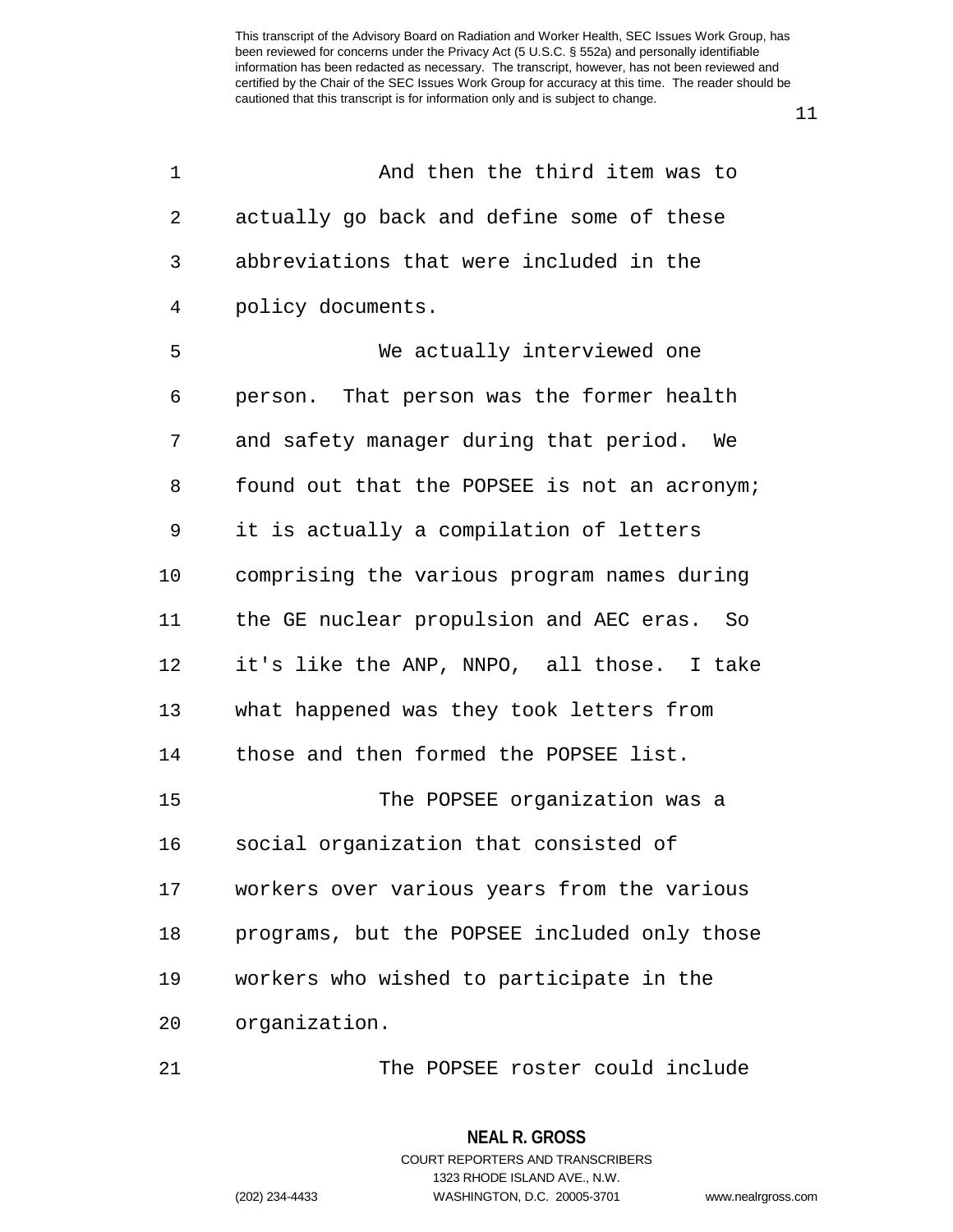11

| 1  | And then the third item was to               |
|----|----------------------------------------------|
| 2  | actually go back and define some of these    |
| 3  | abbreviations that were included in the      |
| 4  | policy documents.                            |
| 5  | We actually interviewed one                  |
| 6  | person. That person was the former health    |
| 7  | and safety manager during that period. We    |
| 8  | found out that the POPSEE is not an acronym; |
| 9  | it is actually a compilation of letters      |
| 10 | comprising the various program names during  |
| 11 | the GE nuclear propulsion and AEC eras. So   |
| 12 | it's like the ANP, NNPO, all those. I take   |
| 13 | what happened was they took letters from     |
| 14 | those and then formed the POPSEE list.       |
| 15 | The POPSEE organization was a                |
| 16 | social organization that consisted of        |
| 17 | workers over various years from the various  |
| 18 | programs, but the POPSEE included only those |
| 19 | workers who wished to participate in the     |
| 20 | organization.                                |
|    |                                              |

21 The POPSEE roster could include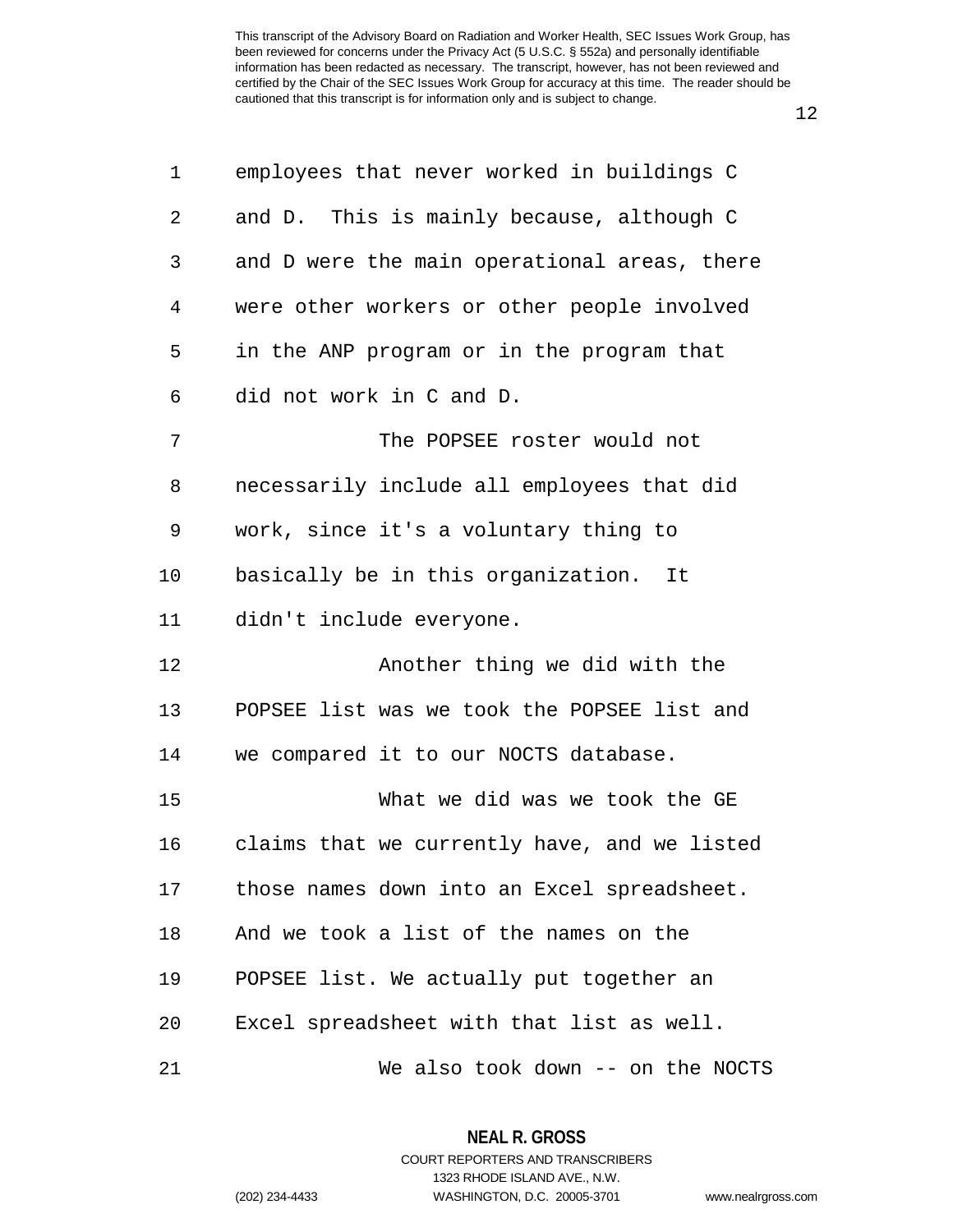| 1  | employees that never worked in buildings C   |
|----|----------------------------------------------|
| 2  | and D. This is mainly because, although C    |
| 3  | and D were the main operational areas, there |
| 4  | were other workers or other people involved  |
| 5  | in the ANP program or in the program that    |
| 6  | did not work in C and D.                     |
| 7  | The POPSEE roster would not                  |
| 8  | necessarily include all employees that did   |
| 9  | work, since it's a voluntary thing to        |
| 10 | basically be in this organization.<br>It     |
| 11 | didn't include everyone.                     |
| 12 | Another thing we did with the                |
| 13 | POPSEE list was we took the POPSEE list and  |
| 14 | we compared it to our NOCTS database.        |
| 15 | What we did was we took the GE               |
| 16 | claims that we currently have, and we listed |
| 17 | those names down into an Excel spreadsheet.  |
| 18 | And we took a list of the names on the       |
| 19 | POPSEE list. We actually put together an     |
| 20 | Excel spreadsheet with that list as well.    |
| 21 | We also took down -- on the NOCTS            |

**NEAL R. GROSS**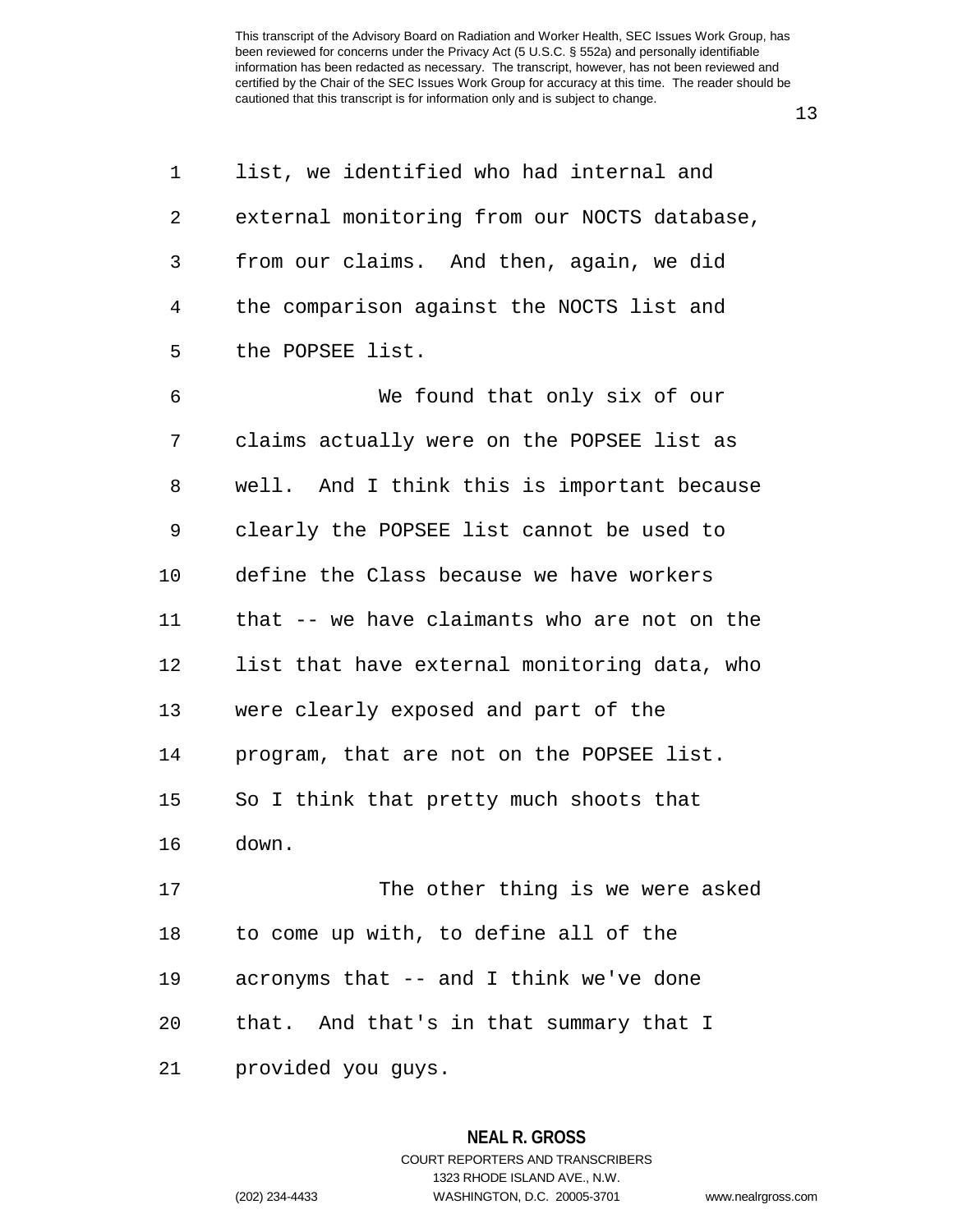13

| 1  | list, we identified who had internal and     |
|----|----------------------------------------------|
| 2  | external monitoring from our NOCTS database, |
| 3  | from our claims. And then, again, we did     |
| 4  | the comparison against the NOCTS list and    |
| 5  | the POPSEE list.                             |
| 6  | We found that only six of our                |
| 7  | claims actually were on the POPSEE list as   |
| 8  | well. And I think this is important because  |
| 9  | clearly the POPSEE list cannot be used to    |
| 10 | define the Class because we have workers     |
| 11 | that -- we have claimants who are not on the |
| 12 | list that have external monitoring data, who |
| 13 | were clearly exposed and part of the         |
| 14 | program, that are not on the POPSEE list.    |
| 15 | So I think that pretty much shoots that      |
| 16 | down.                                        |
| 17 | The other thing is we were asked             |
| 18 | to come up with, to define all of the        |
| 19 | acronyms that -- and I think we've done      |
| 20 | that. And that's in that summary that I      |
| 21 | provided you guys.                           |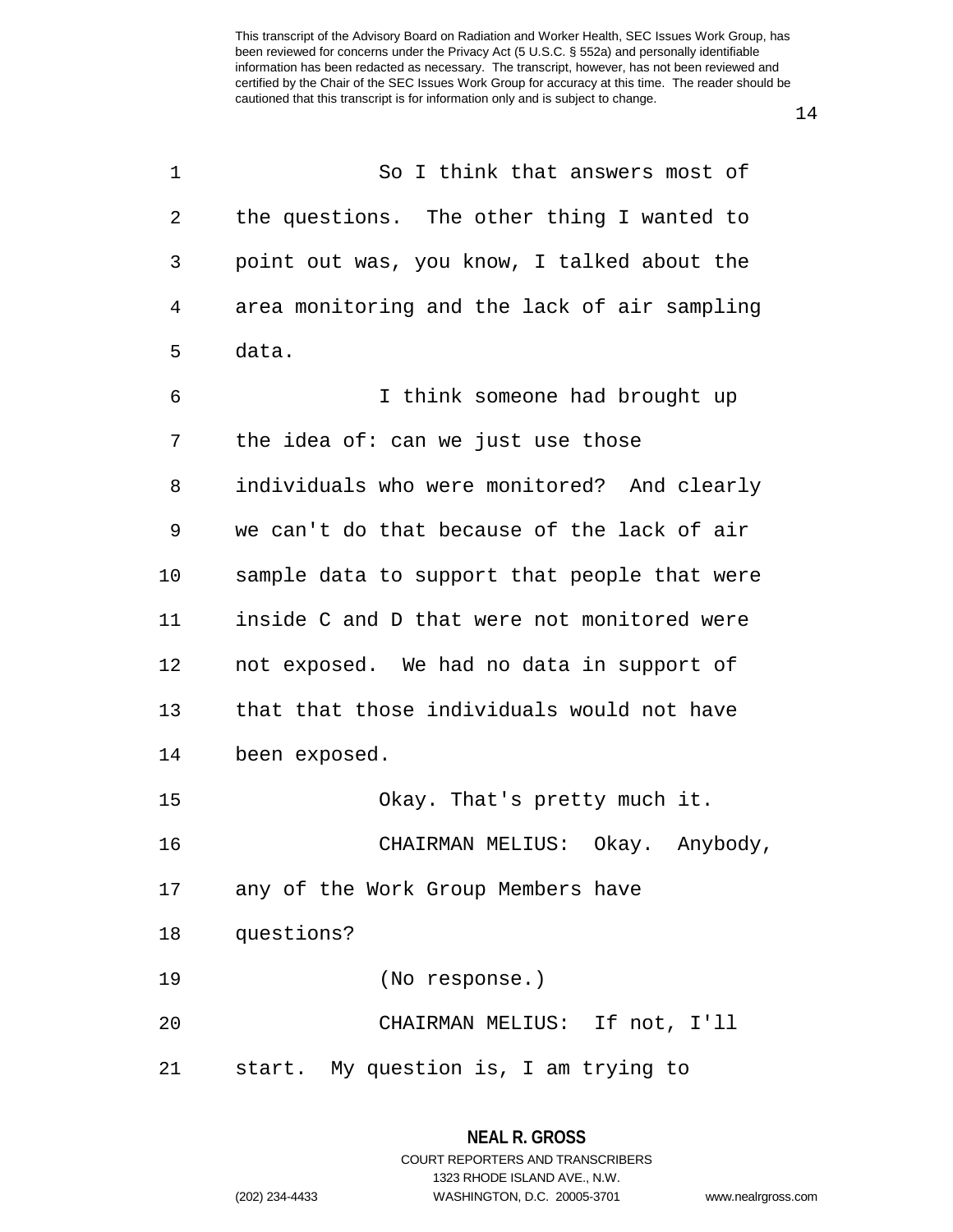| 1  | So I think that answers most of              |
|----|----------------------------------------------|
| 2  | the questions. The other thing I wanted to   |
| 3  | point out was, you know, I talked about the  |
| 4  | area monitoring and the lack of air sampling |
| 5  | data.                                        |
| 6  | I think someone had brought up               |
| 7  | the idea of: can we just use those           |
| 8  | individuals who were monitored? And clearly  |
| 9  | we can't do that because of the lack of air  |
| 10 | sample data to support that people that were |
| 11 | inside C and D that were not monitored were  |
| 12 | not exposed. We had no data in support of    |
| 13 | that that those individuals would not have   |
| 14 | been exposed.                                |
| 15 | Okay. That's pretty much it.                 |
| 16 | CHAIRMAN MELIUS: Okay. Anybody,              |
| 17 | any of the Work Group Members have           |
| 18 | questions?                                   |
| 19 | (No response.)                               |
| 20 | CHAIRMAN MELIUS: If not, I'll                |
| 21 | start. My question is, I am trying to        |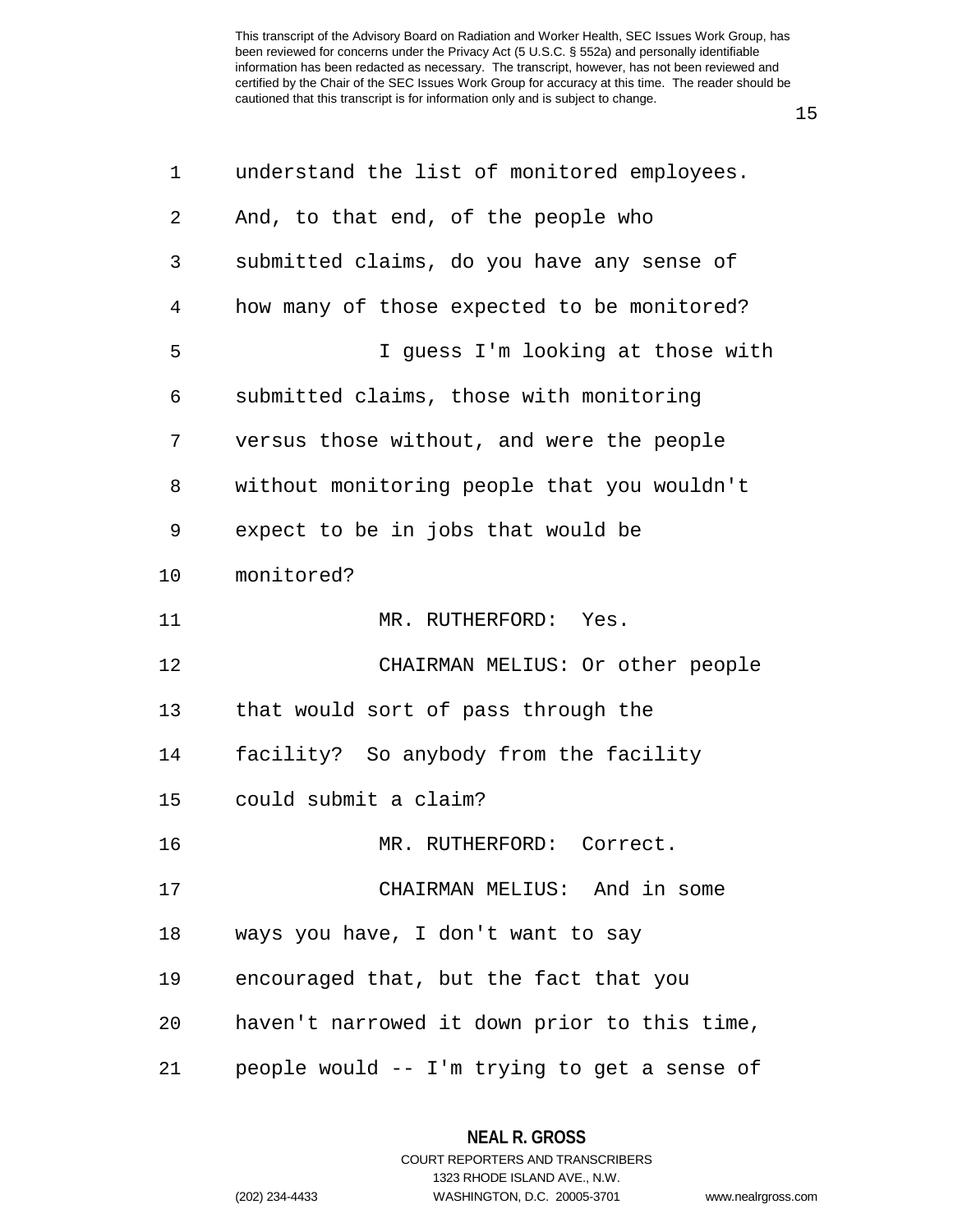15

| $\mathbf 1$ | understand the list of monitored employees.  |
|-------------|----------------------------------------------|
| 2           | And, to that end, of the people who          |
| 3           | submitted claims, do you have any sense of   |
| 4           | how many of those expected to be monitored?  |
| 5           | I guess I'm looking at those with            |
| 6           | submitted claims, those with monitoring      |
| 7           | versus those without, and were the people    |
| 8           | without monitoring people that you wouldn't  |
| 9           | expect to be in jobs that would be           |
| 10          | monitored?                                   |
| 11          | MR. RUTHERFORD: Yes.                         |
| 12          | CHAIRMAN MELIUS: Or other people             |
| 13          | that would sort of pass through the          |
| 14          | facility? So anybody from the facility       |
| 15          | could submit a claim?                        |
| 16          | MR. RUTHERFORD: Correct.                     |
| 17          | CHAIRMAN MELIUS: And in some                 |
| 18          | ways you have, I don't want to say           |
| 19          | encouraged that, but the fact that you       |
| 20          | haven't narrowed it down prior to this time, |
| 21          | people would -- I'm trying to get a sense of |

**NEAL R. GROSS** COURT REPORTERS AND TRANSCRIBERS 1323 RHODE ISLAND AVE., N.W.

(202) 234-4433 WASHINGTON, D.C. 20005-3701 www.nealrgross.com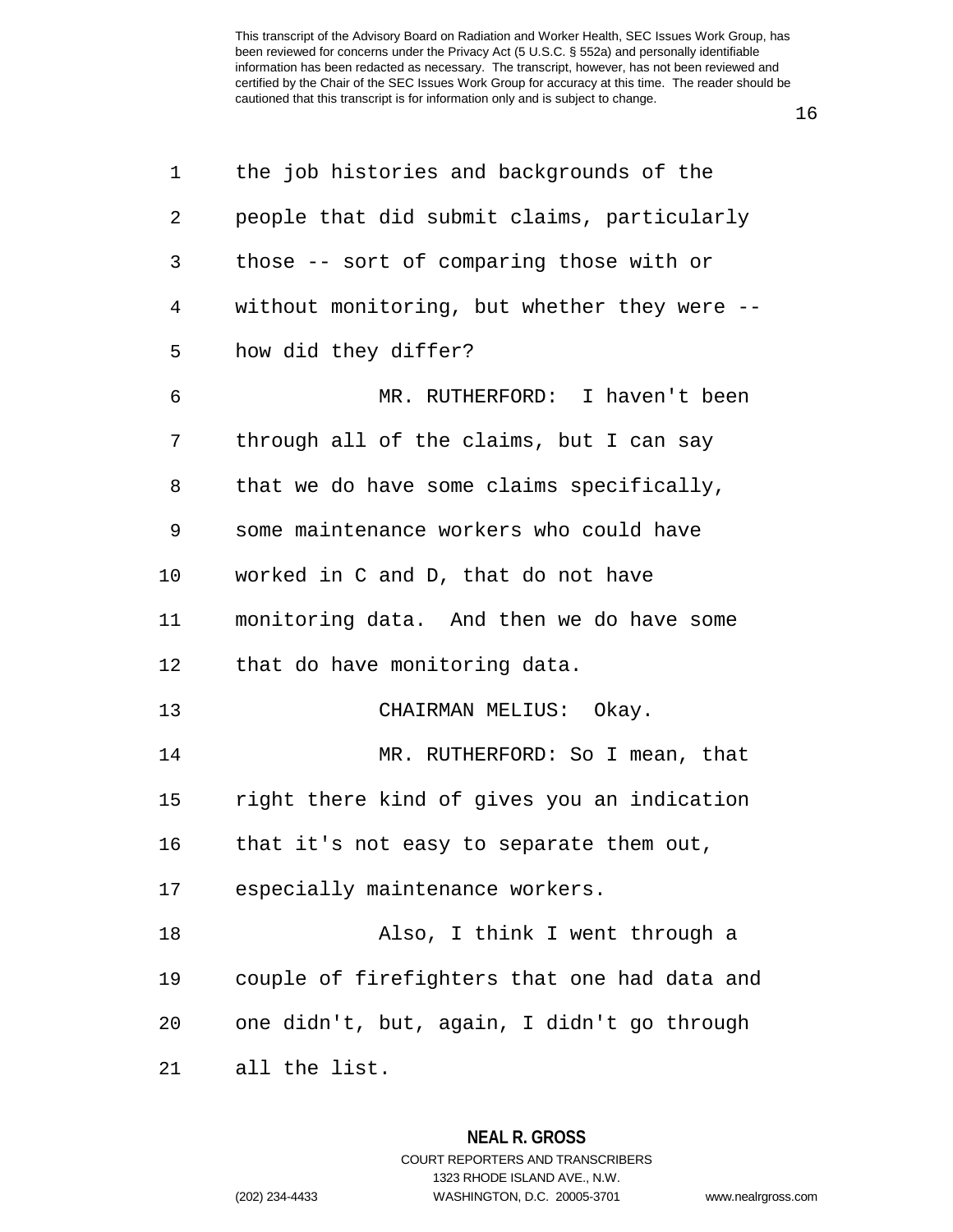16

| 1  | the job histories and backgrounds of the     |
|----|----------------------------------------------|
| 2  | people that did submit claims, particularly  |
| 3  | those -- sort of comparing those with or     |
| 4  | without monitoring, but whether they were -- |
| 5  | how did they differ?                         |
| 6  | MR. RUTHERFORD: I haven't been               |
| 7  | through all of the claims, but I can say     |
| 8  | that we do have some claims specifically,    |
| 9  | some maintenance workers who could have      |
| 10 | worked in C and D, that do not have          |
| 11 | monitoring data. And then we do have some    |
| 12 | that do have monitoring data.                |
| 13 | CHAIRMAN MELIUS: Okay.                       |
| 14 | MR. RUTHERFORD: So I mean, that              |
| 15 | right there kind of gives you an indication  |
| 16 | that it's not easy to separate them out,     |
| 17 | especially maintenance workers.              |
| 18 | Also, I think I went through a               |
| 19 | couple of firefighters that one had data and |
| 20 | one didn't, but, again, I didn't go through  |
| 21 | all the list.                                |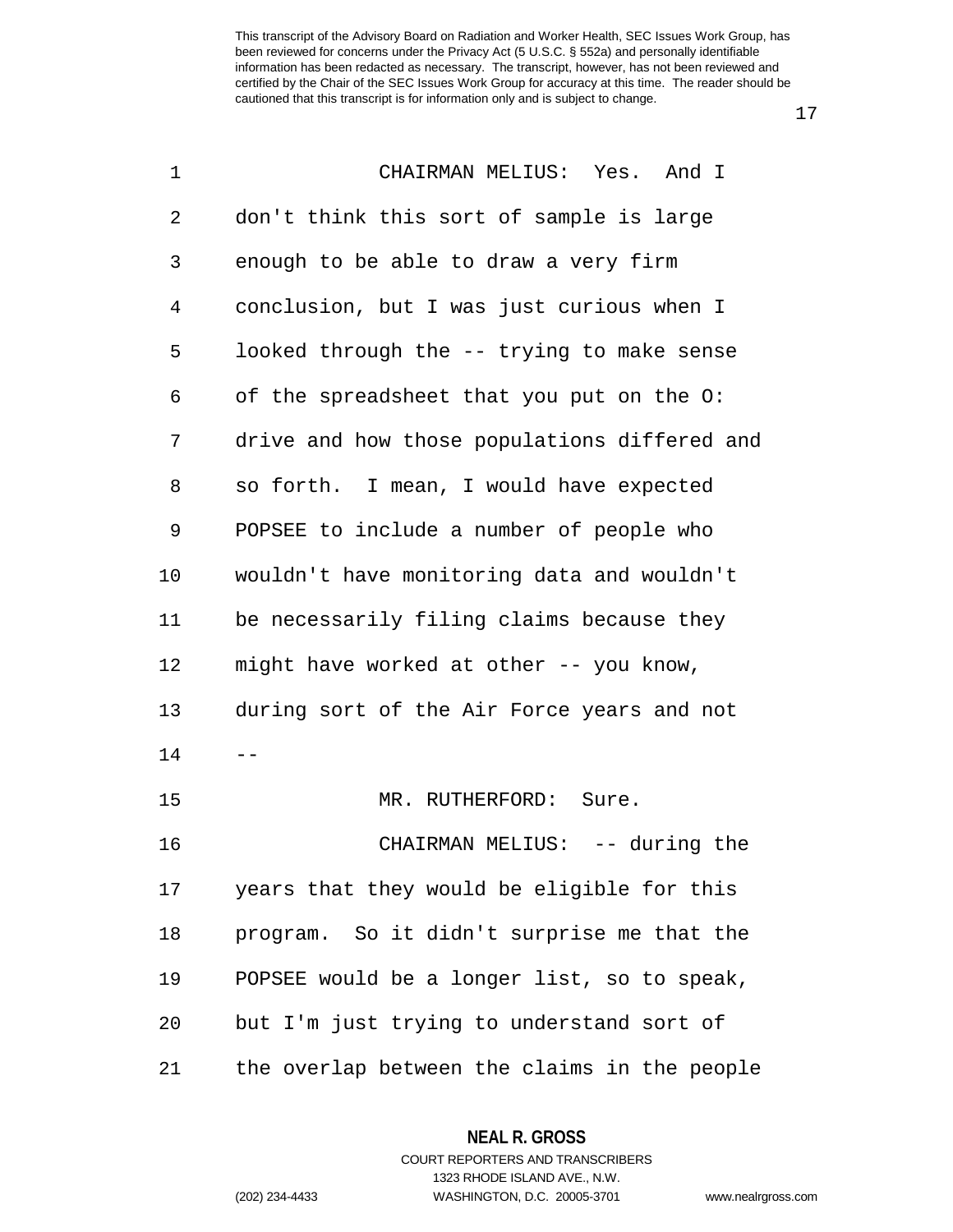17

| 1  | CHAIRMAN MELIUS: Yes. And I                  |
|----|----------------------------------------------|
| 2  | don't think this sort of sample is large     |
| 3  | enough to be able to draw a very firm        |
| 4  | conclusion, but I was just curious when I    |
| 5  | looked through the -- trying to make sense   |
| 6  | of the spreadsheet that you put on the O:    |
| 7  | drive and how those populations differed and |
| 8  | so forth. I mean, I would have expected      |
| 9  | POPSEE to include a number of people who     |
| 10 | wouldn't have monitoring data and wouldn't   |
| 11 | be necessarily filing claims because they    |
| 12 | might have worked at other -- you know,      |
| 13 | during sort of the Air Force years and not   |
| 14 |                                              |
| 15 | MR. RUTHERFORD: Sure.                        |
| 16 | CHAIRMAN MELIUS: -- during the               |
| 17 | years that they would be eligible for this   |
| 18 | program. So it didn't surprise me that the   |
| 19 | POPSEE would be a longer list, so to speak,  |
| 20 | but I'm just trying to understand sort of    |
| 21 | the overlap between the claims in the people |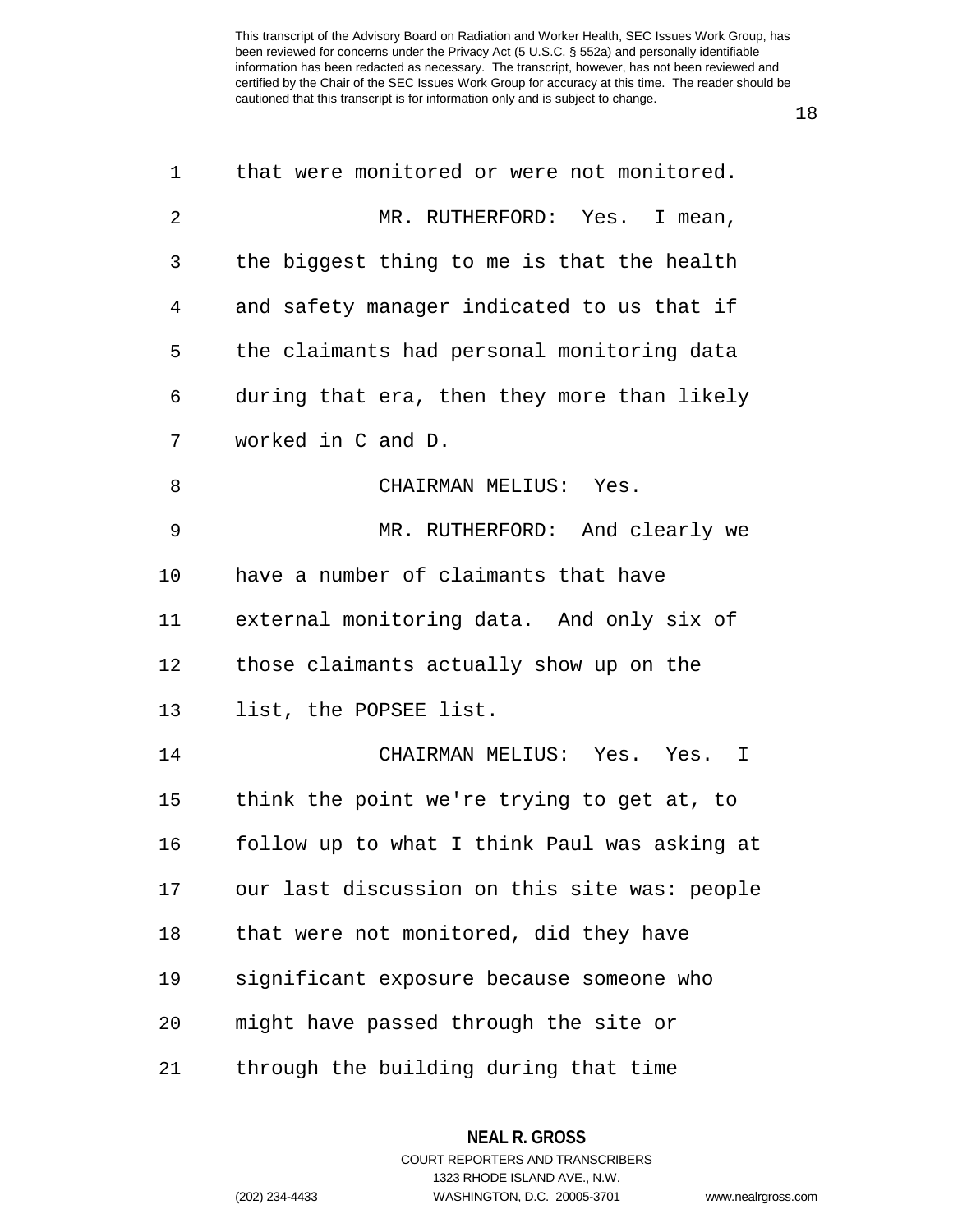18

| 1              | that were monitored or were not monitored.   |
|----------------|----------------------------------------------|
| $\overline{2}$ | MR. RUTHERFORD: Yes. I mean,                 |
| 3              | the biggest thing to me is that the health   |
| 4              | and safety manager indicated to us that if   |
| 5              | the claimants had personal monitoring data   |
| 6              | during that era, then they more than likely  |
| 7              | worked in C and D.                           |
| 8              | CHAIRMAN MELIUS: Yes.                        |
| 9              | MR. RUTHERFORD: And clearly we               |
| 10             | have a number of claimants that have         |
| 11             | external monitoring data. And only six of    |
| 12             | those claimants actually show up on the      |
| 13             | list, the POPSEE list.                       |
| 14             | CHAIRMAN MELIUS: Yes. Yes. I                 |
| 15             | think the point we're trying to get at, to   |
| 16             | follow up to what I think Paul was asking at |
| 17             | our last discussion on this site was: people |
| 18             | that were not monitored, did they have       |
| 19             | significant exposure because someone who     |
| 20             | might have passed through the site or        |
| 21             | through the building during that time        |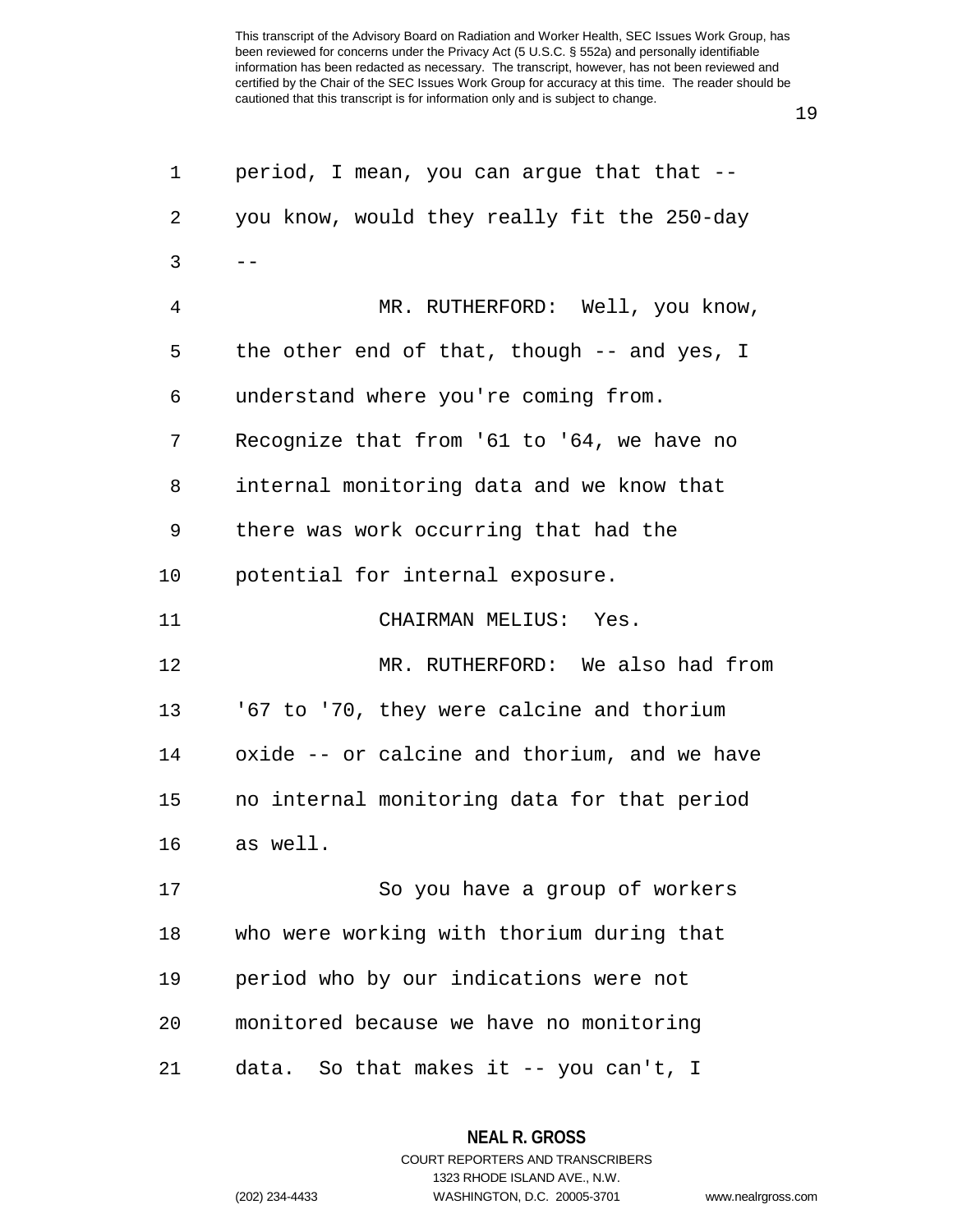| 1  | period, I mean, you can argue that that --   |
|----|----------------------------------------------|
| 2  | you know, would they really fit the 250-day  |
| 3  | $- -$                                        |
| 4  | MR. RUTHERFORD: Well, you know,              |
| 5  | the other end of that, though -- and yes, I  |
| 6  | understand where you're coming from.         |
| 7  | Recognize that from '61 to '64, we have no   |
| 8  | internal monitoring data and we know that    |
| 9  | there was work occurring that had the        |
| 10 | potential for internal exposure.             |
| 11 | CHAIRMAN MELIUS: Yes.                        |
| 12 | MR. RUTHERFORD: We also had from             |
| 13 | '67 to '70, they were calcine and thorium    |
| 14 | oxide -- or calcine and thorium, and we have |
| 15 | no internal monitoring data for that period  |
| 16 | as well.                                     |
| 17 | So you have a group of workers               |
| 18 | who were working with thorium during that    |
| 19 | period who by our indications were not       |
| 20 | monitored because we have no monitoring      |
| 21 | data. So that makes it -- you can't, I       |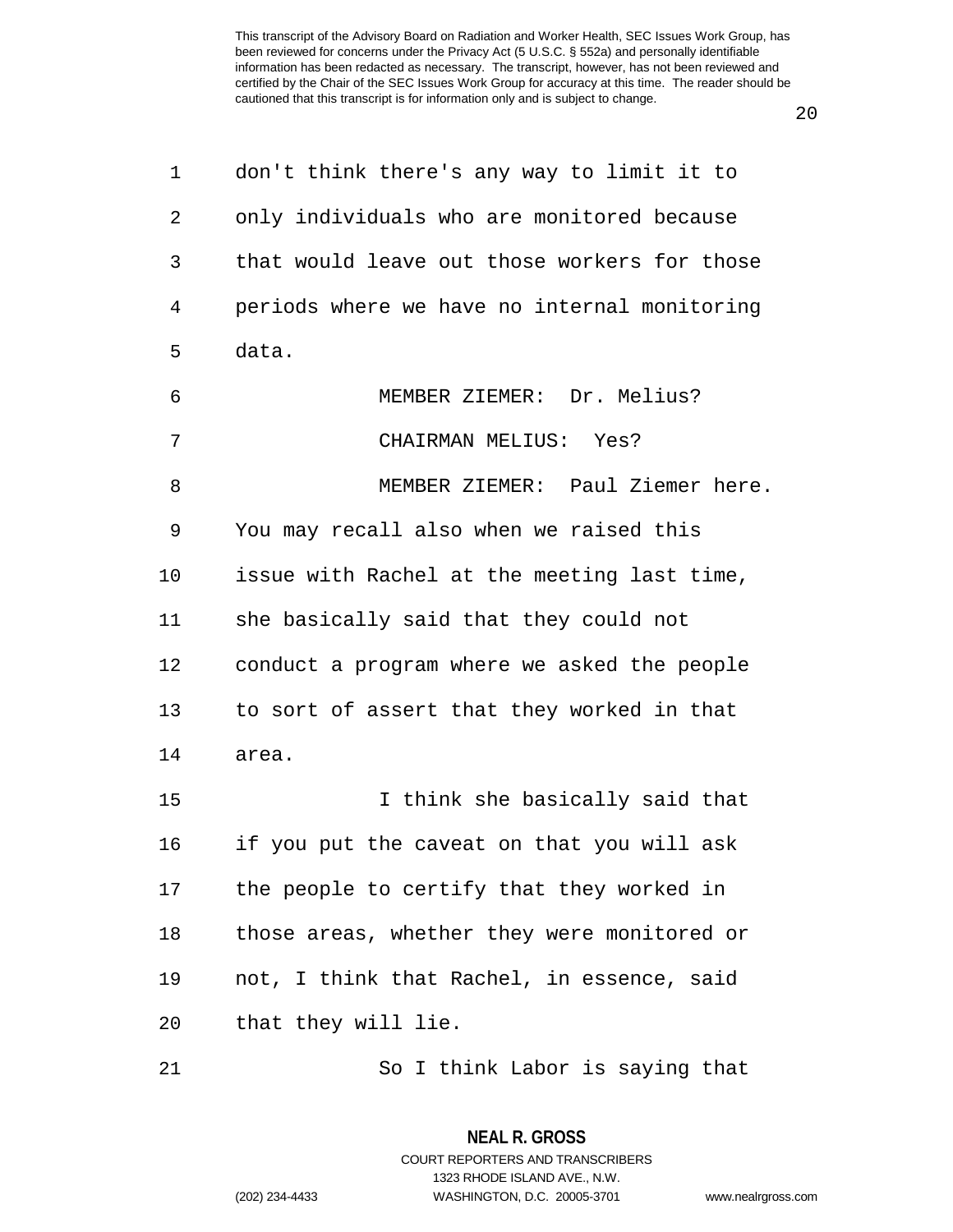20

| 1  | don't think there's any way to limit it to   |
|----|----------------------------------------------|
| 2  | only individuals who are monitored because   |
| 3  | that would leave out those workers for those |
| 4  | periods where we have no internal monitoring |
| 5  | data.                                        |
| 6  | MEMBER ZIEMER: Dr. Melius?                   |
| 7  | CHAIRMAN MELIUS: Yes?                        |
| 8  | MEMBER ZIEMER: Paul Ziemer here.             |
| 9  | You may recall also when we raised this      |
| 10 | issue with Rachel at the meeting last time,  |
| 11 | she basically said that they could not       |
| 12 | conduct a program where we asked the people  |
| 13 | to sort of assert that they worked in that   |
| 14 | area.                                        |
| 15 | I think she basically said that              |
| 16 | if you put the caveat on that you will ask   |
| 17 | the people to certify that they worked in    |
| 18 | those areas, whether they were monitored or  |
| 19 | not, I think that Rachel, in essence, said   |
| 20 | that they will lie.                          |
|    |                                              |

21 So I think Labor is saying that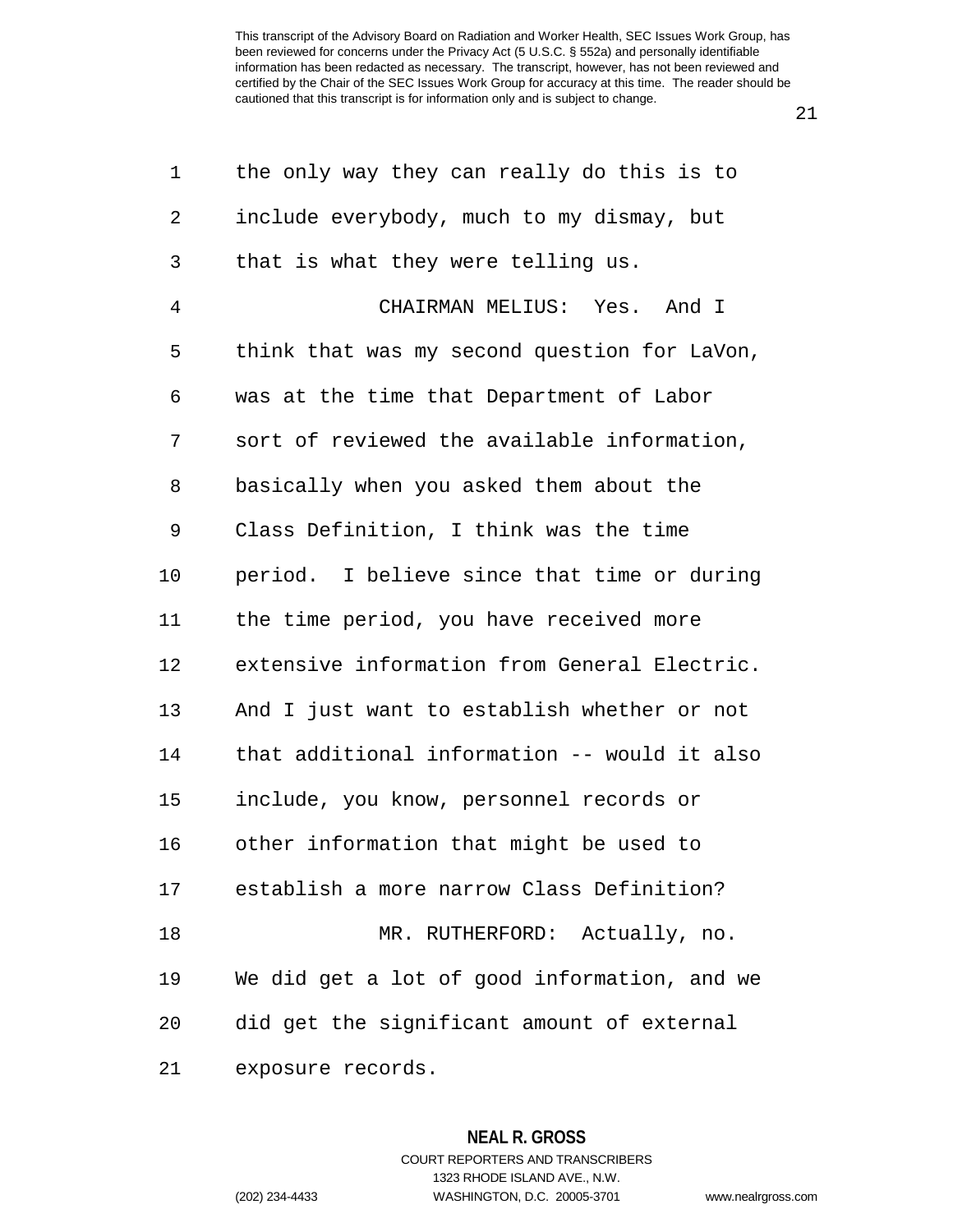21

| 1  | the only way they can really do this is to   |
|----|----------------------------------------------|
| 2  | include everybody, much to my dismay, but    |
| 3  | that is what they were telling us.           |
| 4  | CHAIRMAN MELIUS: Yes. And I                  |
| 5  | think that was my second question for LaVon, |
| 6  | was at the time that Department of Labor     |
| 7  | sort of reviewed the available information,  |
| 8  | basically when you asked them about the      |
| 9  | Class Definition, I think was the time       |
| 10 | period. I believe since that time or during  |
| 11 | the time period, you have received more      |
| 12 | extensive information from General Electric. |
| 13 | And I just want to establish whether or not  |
| 14 | that additional information -- would it also |
| 15 | include, you know, personnel records or      |
| 16 | other information that might be used to      |
| 17 | establish a more narrow Class Definition?    |
| 18 | MR. RUTHERFORD: Actually, no.                |
| 19 | We did get a lot of good information, and we |
| 20 | did get the significant amount of external   |
| 21 | exposure records.                            |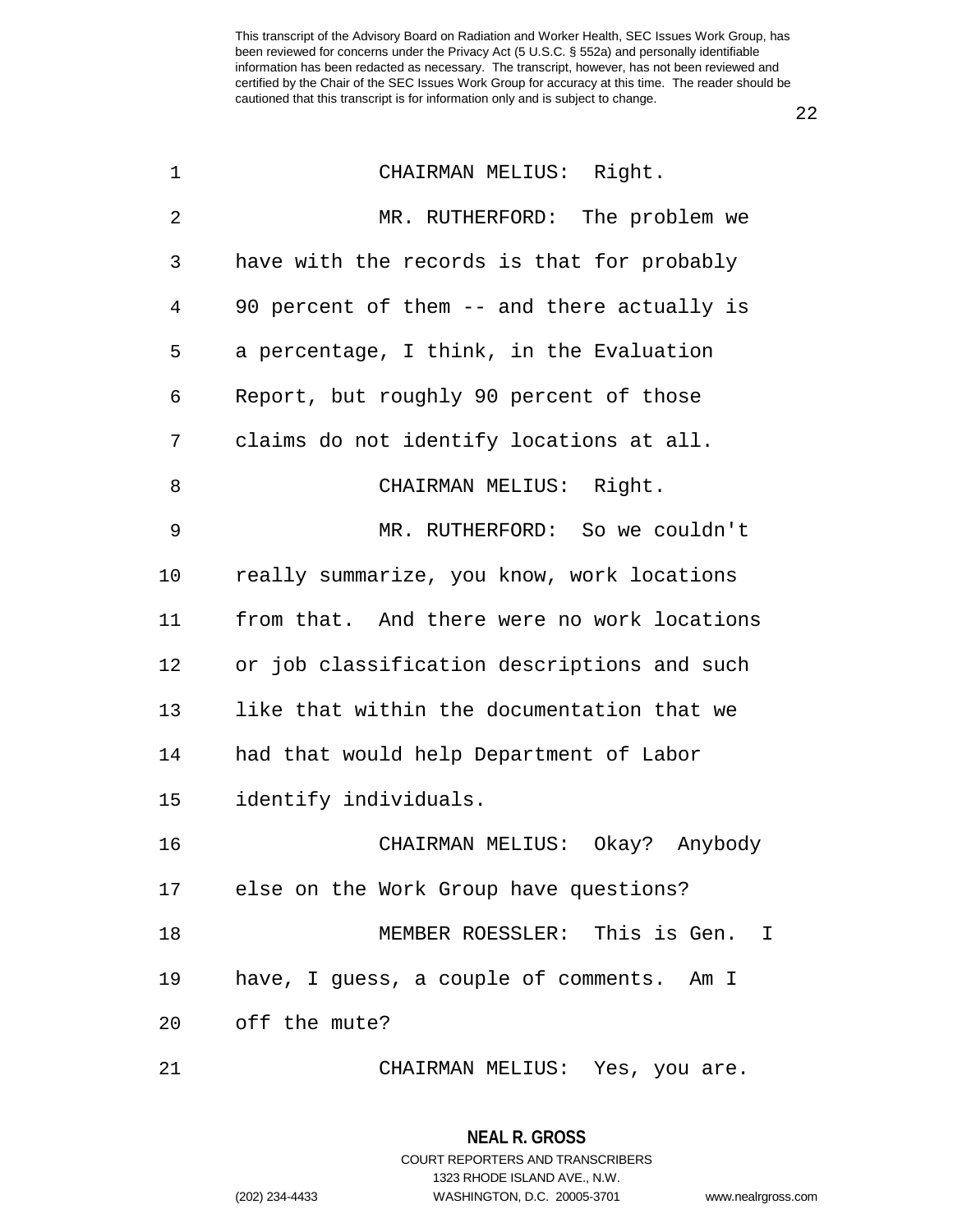1 CHAIRMAN MELIUS: Right. 2 MR. RUTHERFORD: The problem we 3 have with the records is that for probably 4 90 percent of them -- and there actually is 5 a percentage, I think, in the Evaluation 6 Report, but roughly 90 percent of those 7 claims do not identify locations at all. 8 CHAIRMAN MELIUS: Right. 9 MR. RUTHERFORD: So we couldn't 10 really summarize, you know, work locations 11 from that. And there were no work locations 12 or job classification descriptions and such 13 like that within the documentation that we 14 had that would help Department of Labor 15 identify individuals. 16 CHAIRMAN MELIUS: Okay? Anybody 17 else on the Work Group have questions? 18 MEMBER ROESSLER: This is Gen. I 19 have, I guess, a couple of comments. Am I 20 off the mute? 21 CHAIRMAN MELIUS: Yes, you are.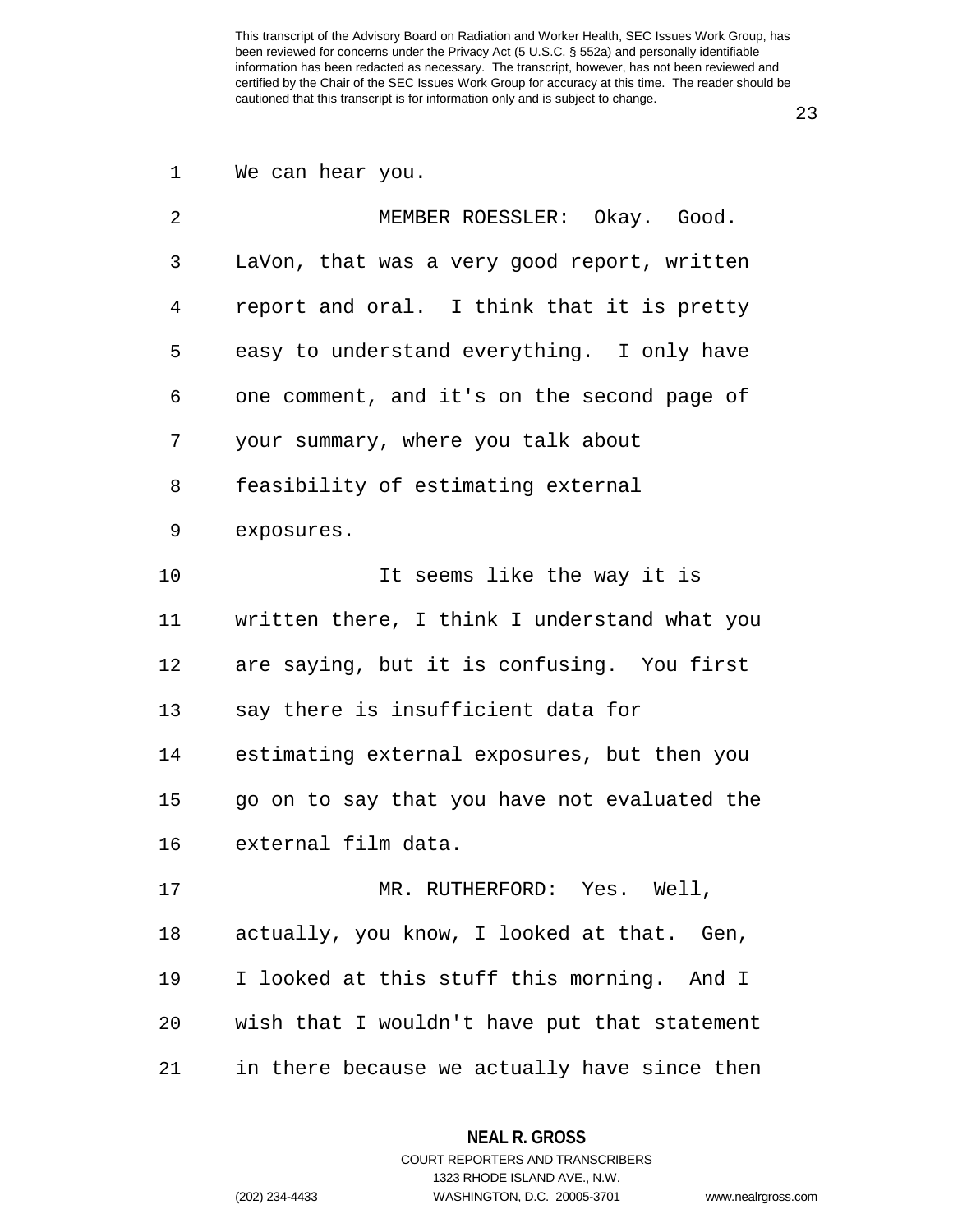1 We can hear you.

| 2  | MEMBER ROESSLER: Okay. Good.                 |
|----|----------------------------------------------|
| 3  | LaVon, that was a very good report, written  |
| 4  | report and oral. I think that it is pretty   |
| 5  | easy to understand everything. I only have   |
| 6  | one comment, and it's on the second page of  |
| 7  | your summary, where you talk about           |
| 8  | feasibility of estimating external           |
| 9  | exposures.                                   |
| 10 | It seems like the way it is                  |
| 11 | written there, I think I understand what you |
| 12 | are saying, but it is confusing. You first   |
| 13 | say there is insufficient data for           |
| 14 | estimating external exposures, but then you  |
| 15 | go on to say that you have not evaluated the |
| 16 | external film data.                          |
| 17 | MR. RUTHERFORD: Yes. Well,                   |
| 18 | actually, you know, I looked at that. Gen,   |
| 19 | I looked at this stuff this morning. And I   |
| 20 | wish that I wouldn't have put that statement |
| 21 | in there because we actually have since then |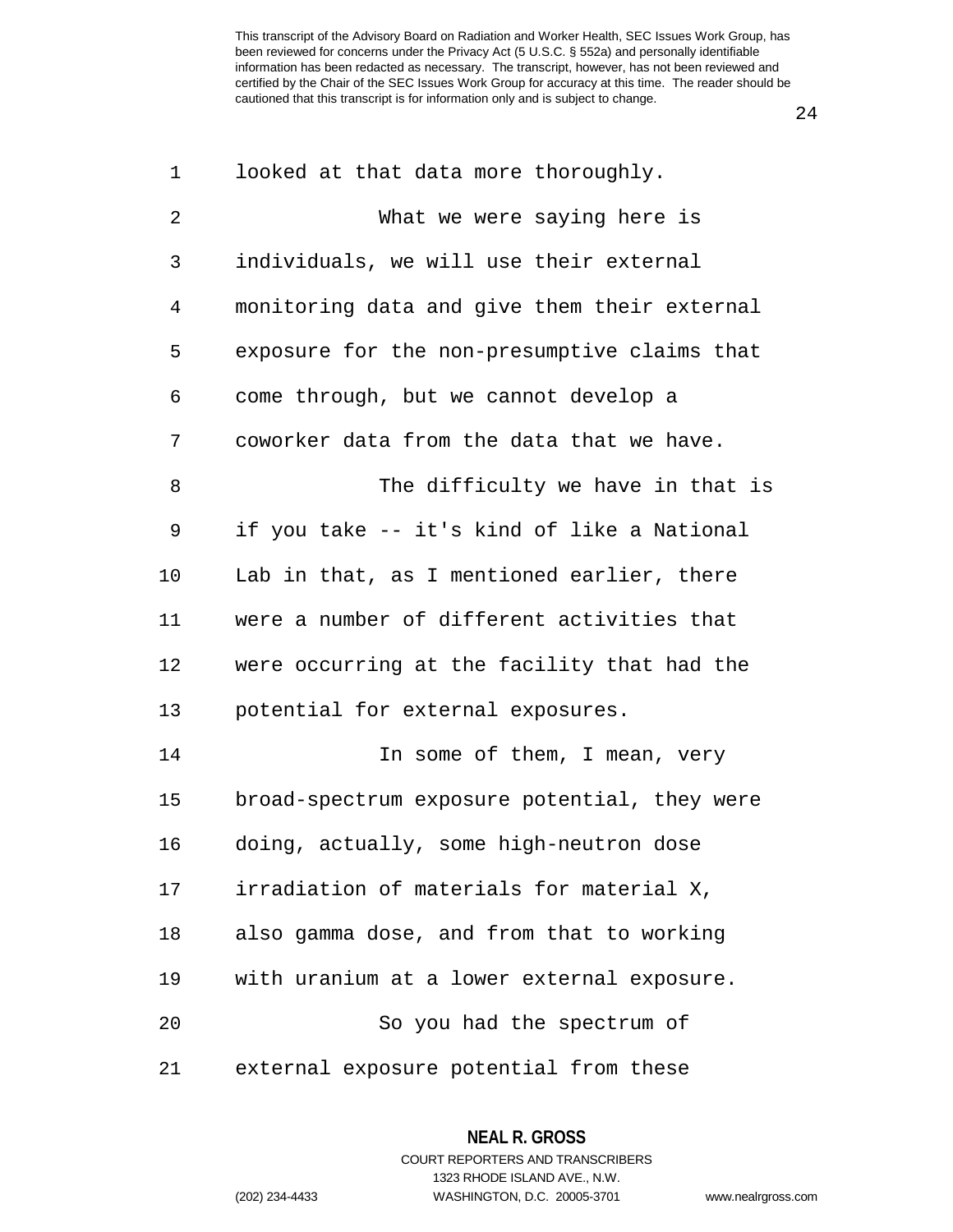24

| 1  | looked at that data more thoroughly.         |
|----|----------------------------------------------|
| 2  | What we were saying here is                  |
| 3  | individuals, we will use their external      |
| 4  | monitoring data and give them their external |
| 5  | exposure for the non-presumptive claims that |
| 6  | come through, but we cannot develop a        |
| 7  | coworker data from the data that we have.    |
| 8  | The difficulty we have in that is            |
| 9  | if you take -- it's kind of like a National  |
| 10 | Lab in that, as I mentioned earlier, there   |
| 11 | were a number of different activities that   |
| 12 | were occurring at the facility that had the  |
| 13 | potential for external exposures.            |
| 14 | In some of them, I mean, very                |
| 15 | broad-spectrum exposure potential, they were |
| 16 | doing, actually, some high-neutron dose      |
| 17 | irradiation of materials for material X,     |
| 18 | also gamma dose, and from that to working    |
| 19 | with uranium at a lower external exposure.   |
| 20 | So you had the spectrum of                   |
| 21 | external exposure potential from these       |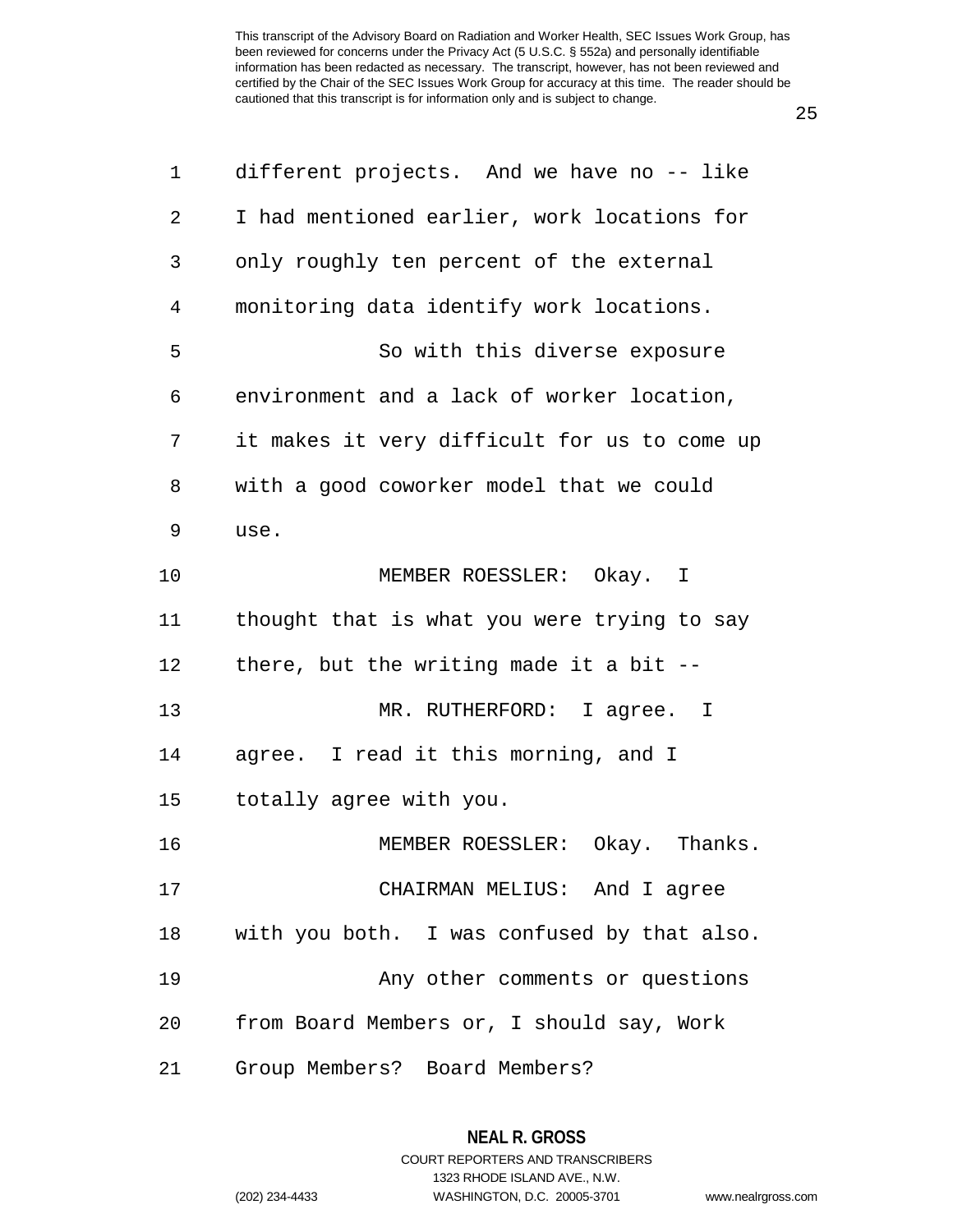| 1  | different projects. And we have no -- like   |
|----|----------------------------------------------|
| 2  | I had mentioned earlier, work locations for  |
| 3  | only roughly ten percent of the external     |
| 4  | monitoring data identify work locations.     |
| 5  | So with this diverse exposure                |
| 6  | environment and a lack of worker location,   |
| 7  | it makes it very difficult for us to come up |
| 8  | with a good coworker model that we could     |
| 9  | use.                                         |
| 10 | MEMBER ROESSLER: Okay. I                     |
| 11 | thought that is what you were trying to say  |
| 12 | there, but the writing made it a bit $-$ -   |
| 13 | MR. RUTHERFORD: I agree. I                   |
| 14 | agree. I read it this morning, and I         |
| 15 | totally agree with you.                      |
| 16 | MEMBER ROESSLER: Okay. Thanks.               |
| 17 | CHAIRMAN MELIUS: And I agree                 |
| 18 | with you both. I was confused by that also.  |
| 19 | Any other comments or questions              |
| 20 | from Board Members or, I should say, Work    |
| 21 | Group Members? Board Members?                |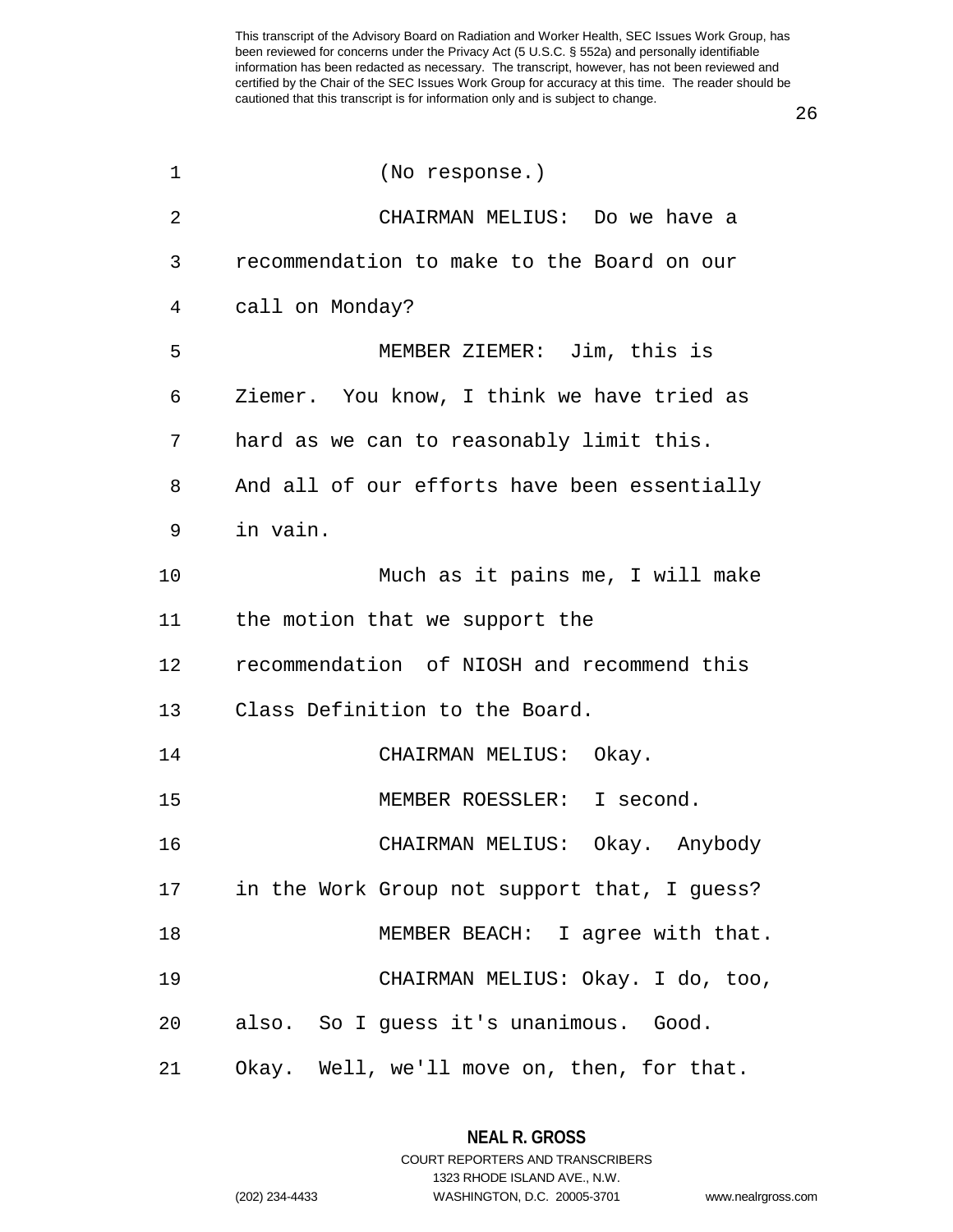26

| $\mathbf 1$ | (No response.)                                |
|-------------|-----------------------------------------------|
| 2           | CHAIRMAN MELIUS: Do we have a                 |
| 3           | recommendation to make to the Board on our    |
| 4           | call on Monday?                               |
| 5           | MEMBER ZIEMER: Jim, this is                   |
| 6           | Ziemer. You know, I think we have tried as    |
| 7           | hard as we can to reasonably limit this.      |
| 8           | And all of our efforts have been essentially  |
| 9           | in vain.                                      |
| 10          | Much as it pains me, I will make              |
| 11          | the motion that we support the                |
| 12          | recommendation of NIOSH and recommend this    |
| 13          | Class Definition to the Board.                |
| 14          | CHAIRMAN MELIUS: Okay.                        |
| 15          | MEMBER ROESSLER: I second.                    |
| 16          | CHAIRMAN MELIUS: Okay. Anybody                |
| 17          | in the Work Group not support that, I guess?  |
| 18          | MEMBER BEACH: I agree with that.              |
| 19          | CHAIRMAN MELIUS: Okay. I do, too,             |
| 20          | also. So I guess it's unanimous. Good.        |
|             | 21 Okay. Well, we'll move on, then, for that. |

**NEAL R. GROSS**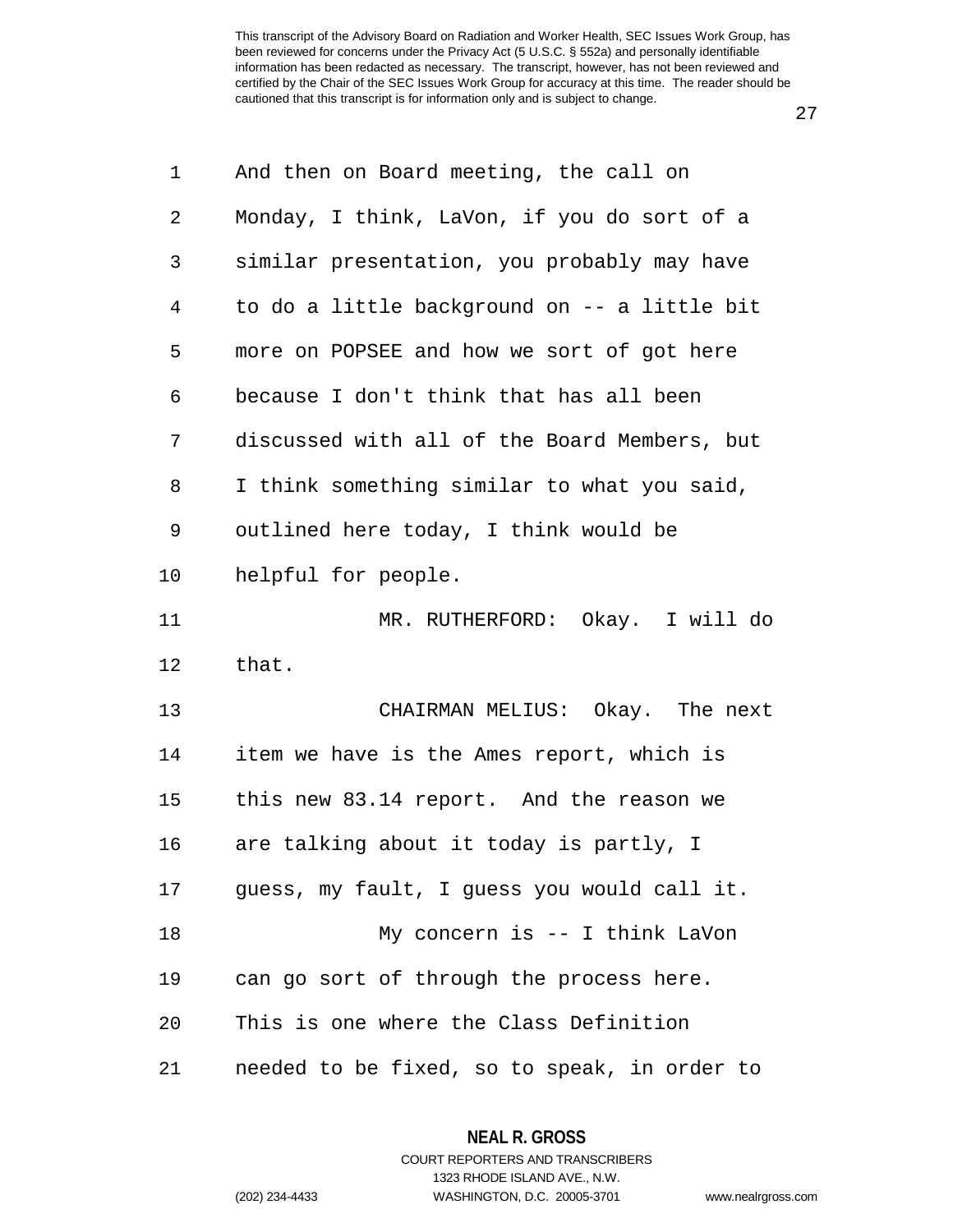27

| $\mathbf 1$    | And then on Board meeting, the call on       |
|----------------|----------------------------------------------|
| $\overline{2}$ | Monday, I think, LaVon, if you do sort of a  |
| 3              | similar presentation, you probably may have  |
| 4              | to do a little background on -- a little bit |
| 5              | more on POPSEE and how we sort of got here   |
| 6              | because I don't think that has all been      |
| 7              | discussed with all of the Board Members, but |
| 8              | I think something similar to what you said,  |
| 9              | outlined here today, I think would be        |
| 10             | helpful for people.                          |
| 11             | MR. RUTHERFORD: Okay. I will do              |
| 12             | that.                                        |
| 13             | CHAIRMAN MELIUS: Okay. The next              |
| 14             | item we have is the Ames report, which is    |
| 15             | this new 83.14 report. And the reason we     |
| 16             | are talking about it today is partly, I      |
| 17             | guess, my fault, I guess you would call it.  |
| 18             | My concern is -- I think LaVon               |
| 19             | can go sort of through the process here.     |
| 20             | This is one where the Class Definition       |
| 21             | needed to be fixed, so to speak, in order to |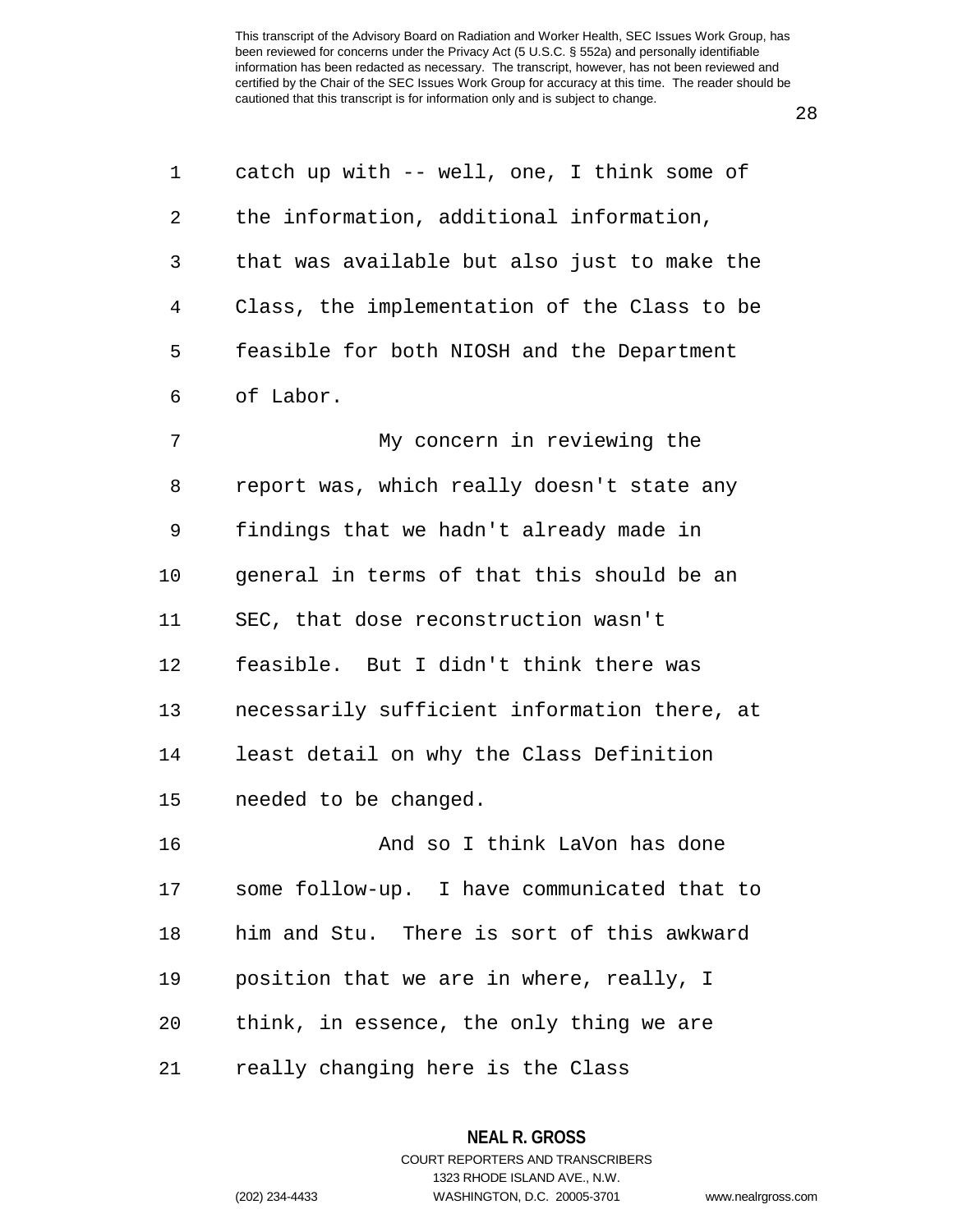28

| $\mathbf{1}$    | catch up with -- well, one, I think some of  |
|-----------------|----------------------------------------------|
| $\overline{a}$  | the information, additional information,     |
| 3               | that was available but also just to make the |
| $4\overline{ }$ | Class, the implementation of the Class to be |
| 5               | feasible for both NIOSH and the Department   |
| 6               | of Labor.                                    |

7 My concern in reviewing the 8 report was, which really doesn't state any 9 findings that we hadn't already made in 10 general in terms of that this should be an 11 SEC, that dose reconstruction wasn't 12 feasible. But I didn't think there was 13 necessarily sufficient information there, at 14 least detail on why the Class Definition 15 needed to be changed. 16 **And so I think LaVon has done** 17 some follow-up. I have communicated that to 18 him and Stu. There is sort of this awkward 19 position that we are in where, really, I 20 think, in essence, the only thing we are

21 really changing here is the Class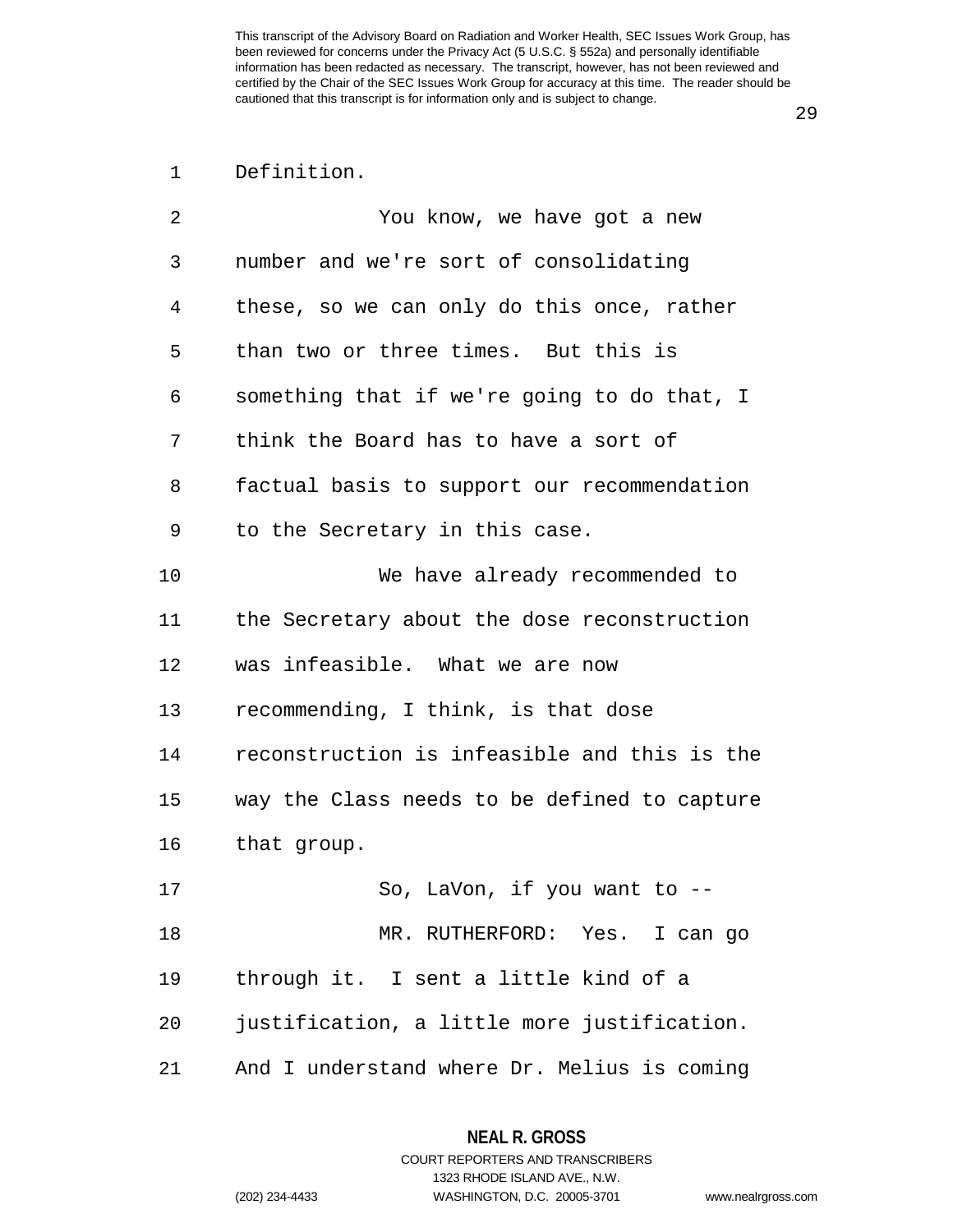1 Definition.

| 2  | You know, we have got a new                  |
|----|----------------------------------------------|
| 3  | number and we're sort of consolidating       |
| 4  | these, so we can only do this once, rather   |
| 5  | than two or three times. But this is         |
| 6  | something that if we're going to do that, I  |
| 7  | think the Board has to have a sort of        |
| 8  | factual basis to support our recommendation  |
| 9  | to the Secretary in this case.               |
| 10 | We have already recommended to               |
| 11 | the Secretary about the dose reconstruction  |
| 12 | was infeasible. What we are now              |
| 13 | recommending, I think, is that dose          |
| 14 | reconstruction is infeasible and this is the |
| 15 | way the Class needs to be defined to capture |
| 16 | that group.                                  |
| 17 | So, LaVon, if you want to --                 |
| 18 | MR. RUTHERFORD: Yes. I can go                |
| 19 | through it. I sent a little kind of a        |
| 20 | justification, a little more justification.  |
| 21 | And I understand where Dr. Melius is coming  |

**NEAL R. GROSS** COURT REPORTERS AND TRANSCRIBERS 1323 RHODE ISLAND AVE., N.W. (202) 234-4433 WASHINGTON, D.C. 20005-3701 www.nealrgross.com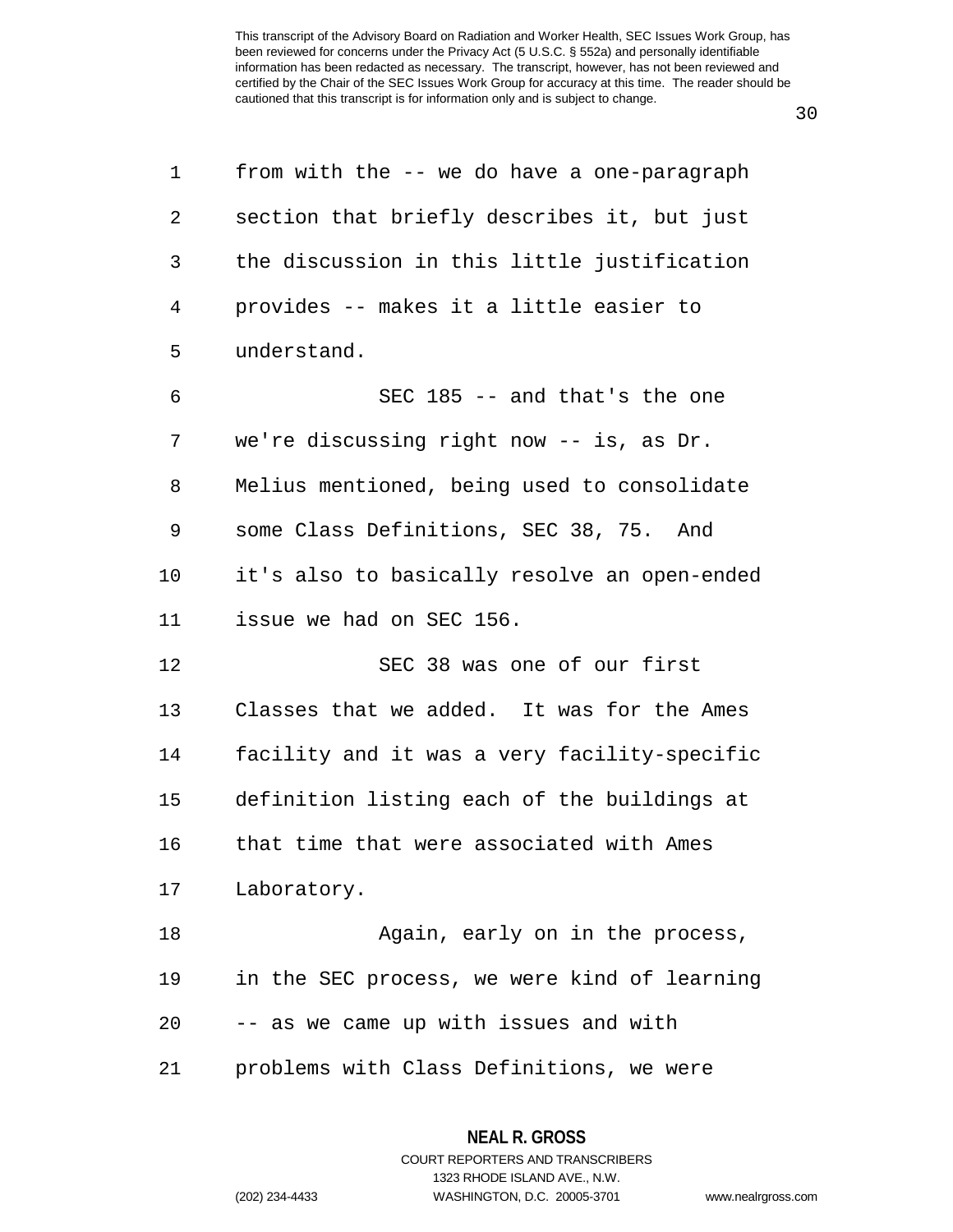30

| 1              | from with the -- we do have a one-paragraph  |
|----------------|----------------------------------------------|
| 2              | section that briefly describes it, but just  |
| 3              | the discussion in this little justification  |
| $\overline{4}$ | provides -- makes it a little easier to      |
| 5              | understand.                                  |
| 6              | SEC 185 -- and that's the one                |
| 7              | we're discussing right now -- is, as Dr.     |
| 8              | Melius mentioned, being used to consolidate  |
| 9              | some Class Definitions, SEC 38, 75. And      |
| 10             | it's also to basically resolve an open-ended |
| 11             | issue we had on SEC 156.                     |
| 12             | SEC 38 was one of our first                  |
| 13             | Classes that we added. It was for the Ames   |
| 14             | facility and it was a very facility-specific |
| 15             | definition listing each of the buildings at  |
| 16             | that time that were associated with Ames     |
| 17             | Laboratory.                                  |
| 18             | Again, early on in the process,              |
| 19             | in the SEC process, we were kind of learning |
| 20             | -- as we came up with issues and with        |
| 21             | problems with Class Definitions, we were     |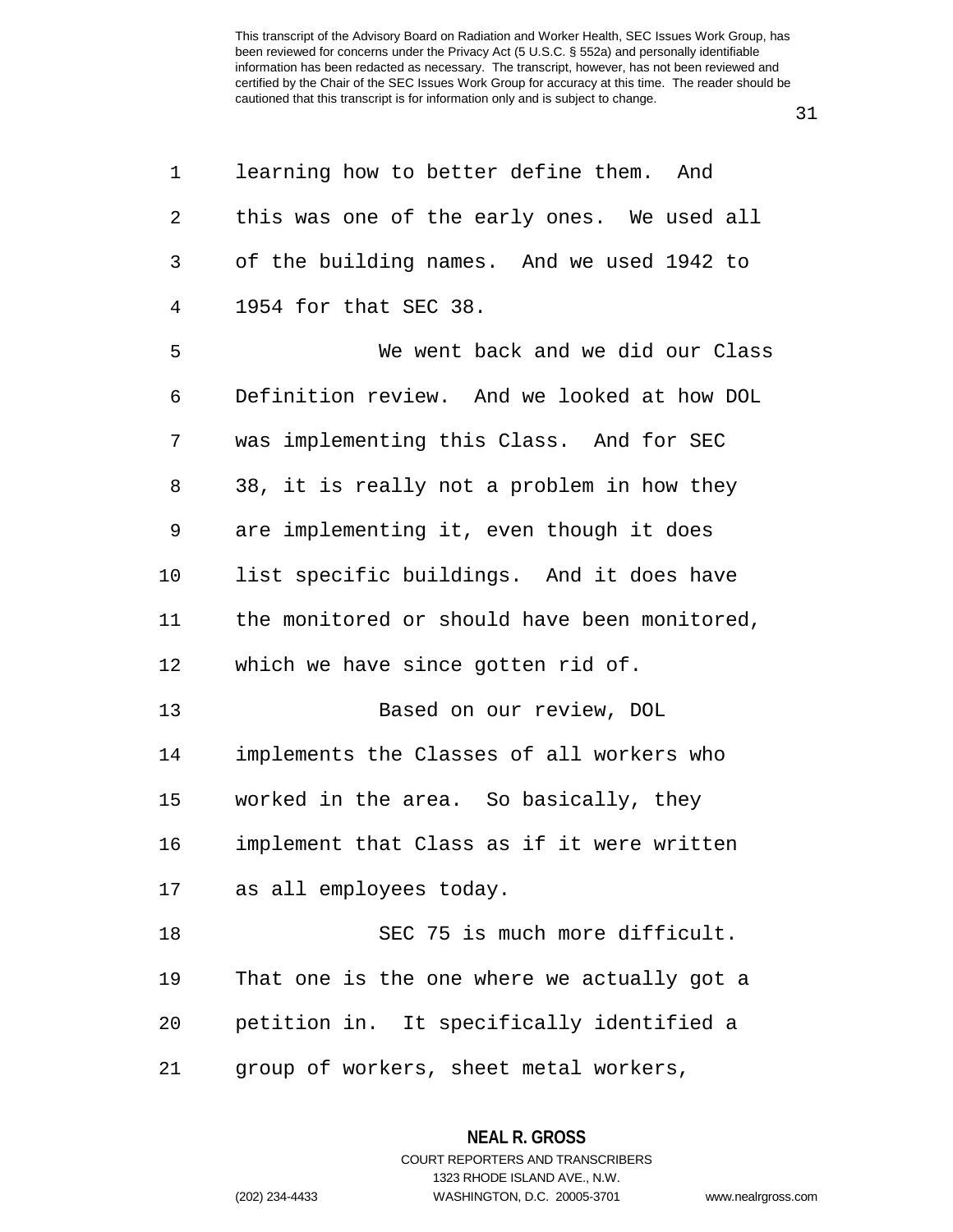31

| 1              | learning how to better define them. And      |
|----------------|----------------------------------------------|
| $\overline{a}$ | this was one of the early ones. We used all  |
| 3              | of the building names. And we used 1942 to   |
| $\overline{4}$ | 1954 for that SEC 38.                        |
| 5              | We went back and we did our Class            |
| 6              | Definition review. And we looked at how DOL  |
| 7              | was implementing this Class. And for SEC     |
| 8              | 38, it is really not a problem in how they   |
| 9              | are implementing it, even though it does     |
| 10             | list specific buildings. And it does have    |
| 11             | the monitored or should have been monitored, |
| 12             | which we have since gotten rid of.           |
| 13             | Based on our review, DOL                     |
| 14             | implements the Classes of all workers who    |
| 15             | worked in the area. So basically, they       |
| 16             | implement that Class as if it were written   |
| 17             | as all employees today.                      |
| 18             | SEC 75 is much more difficult.               |
| 19             | That one is the one where we actually got a  |
| 20             | petition in. It specifically identified a    |
| 21             | group of workers, sheet metal workers,       |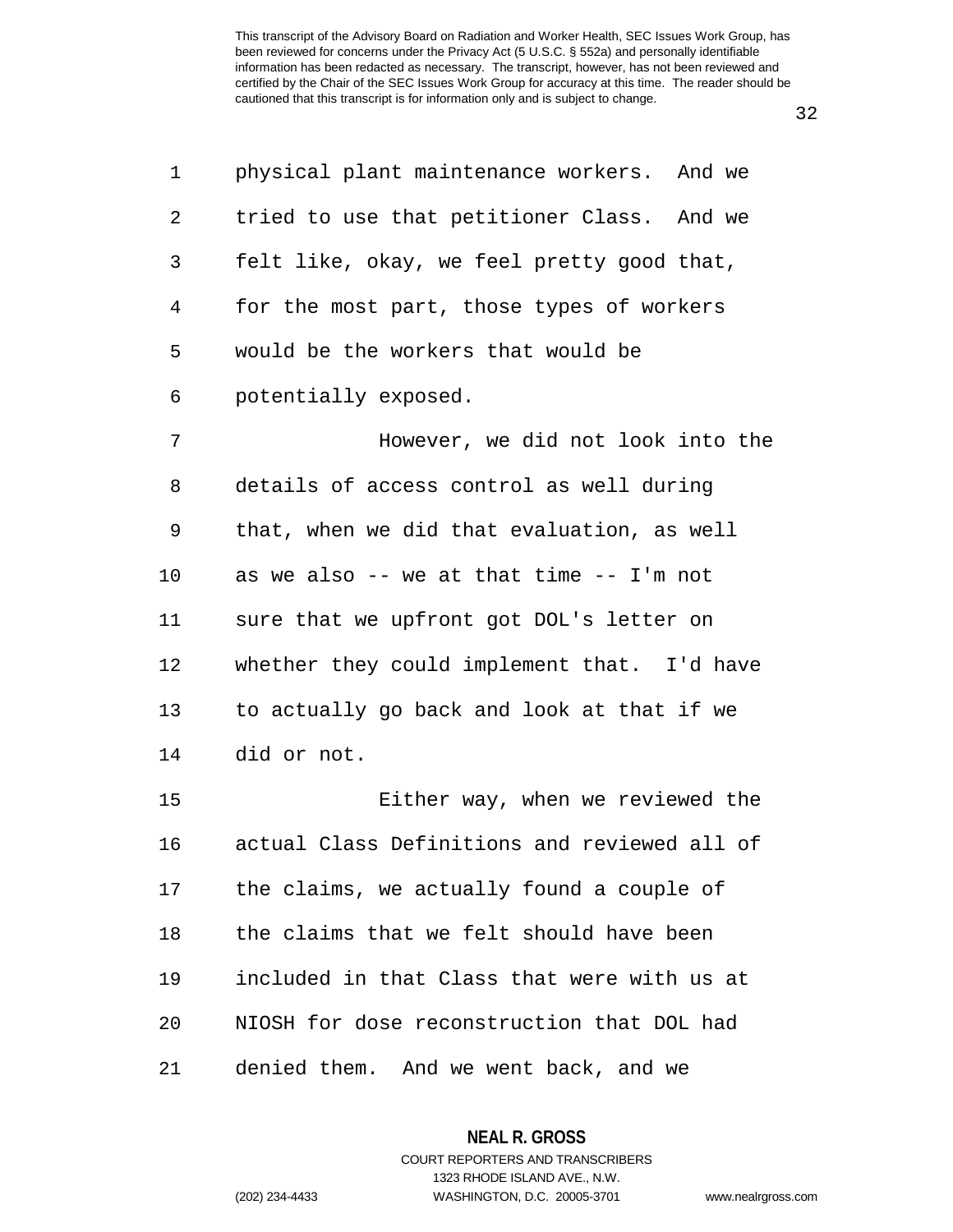32

| 1  | physical plant maintenance workers. And we   |
|----|----------------------------------------------|
| 2  | tried to use that petitioner Class. And we   |
| 3  | felt like, okay, we feel pretty good that,   |
| 4  | for the most part, those types of workers    |
| 5  | would be the workers that would be           |
| 6  | potentially exposed.                         |
| 7  | However, we did not look into the            |
| 8  | details of access control as well during     |
| 9  | that, when we did that evaluation, as well   |
| 10 | as we also -- we at that time -- I'm not     |
| 11 | sure that we upfront got DOL's letter on     |
| 12 | whether they could implement that. I'd have  |
| 13 | to actually go back and look at that if we   |
| 14 | did or not.                                  |
| 15 | Either way, when we reviewed the             |
| 16 | actual Class Definitions and reviewed all of |
| 17 | the claims, we actually found a couple of    |
| 18 | the claims that we felt should have been     |
| 19 | included in that Class that were with us at  |
| 20 | NIOSH for dose reconstruction that DOL had   |
| 21 | denied them. And we went back, and we        |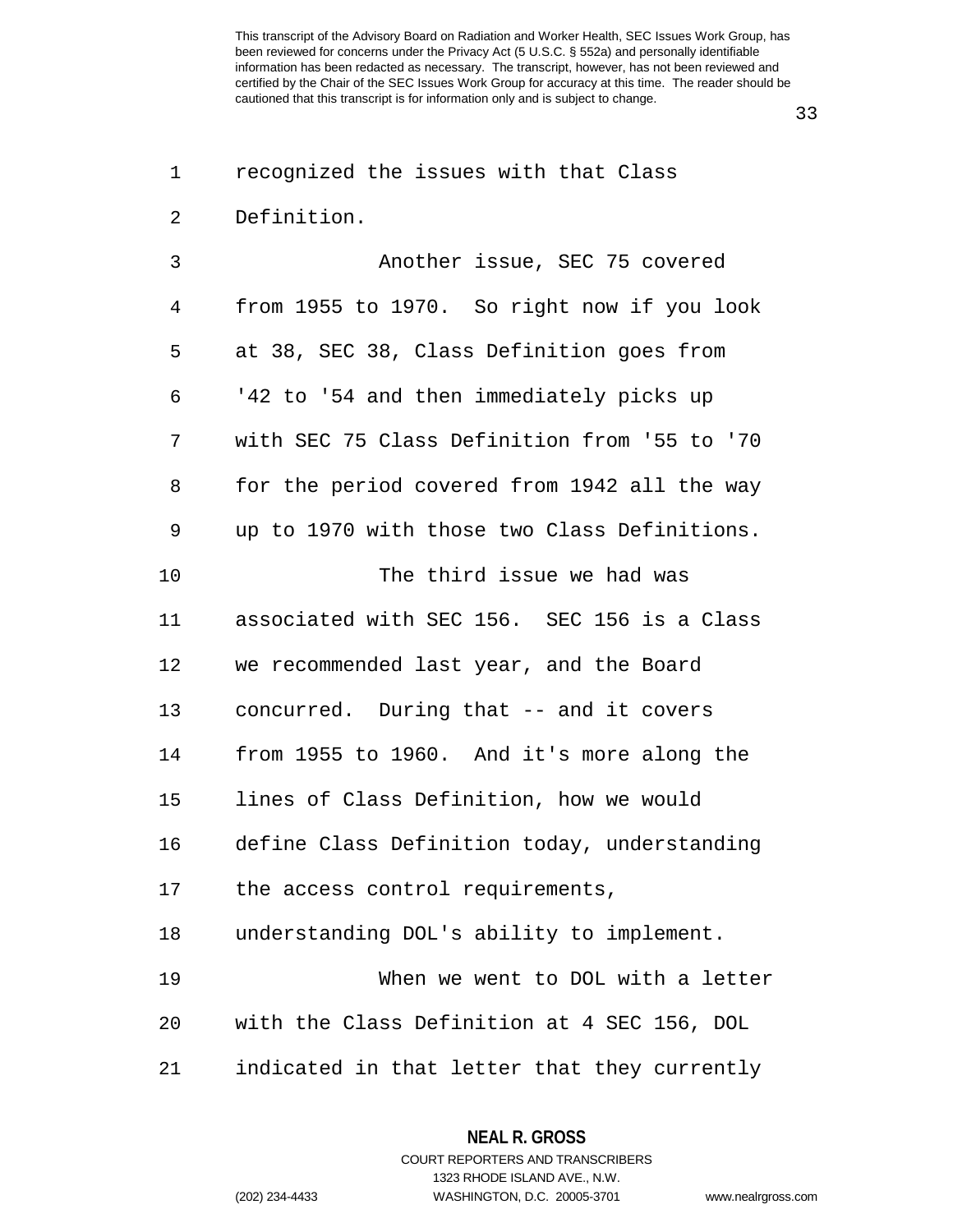33

| 1  | recognized the issues with that Class        |
|----|----------------------------------------------|
| 2  | Definition.                                  |
| 3  | Another issue, SEC 75 covered                |
| 4  | from 1955 to 1970. So right now if you look  |
| 5  | at 38, SEC 38, Class Definition goes from    |
| 6  | '42 to '54 and then immediately picks up     |
| 7  | with SEC 75 Class Definition from '55 to '70 |
| 8  | for the period covered from 1942 all the way |
| 9  | up to 1970 with those two Class Definitions. |
| 10 | The third issue we had was                   |
| 11 | associated with SEC 156. SEC 156 is a Class  |
| 12 | we recommended last year, and the Board      |
| 13 | concurred. During that -- and it covers      |
| 14 | from 1955 to 1960. And it's more along the   |
| 15 | lines of Class Definition, how we would      |
| 16 | define Class Definition today, understanding |
| 17 | the access control requirements,             |
| 18 | understanding DOL's ability to implement.    |
| 19 | When we went to DOL with a letter            |
| 20 | with the Class Definition at 4 SEC 156, DOL  |
| 21 | indicated in that letter that they currently |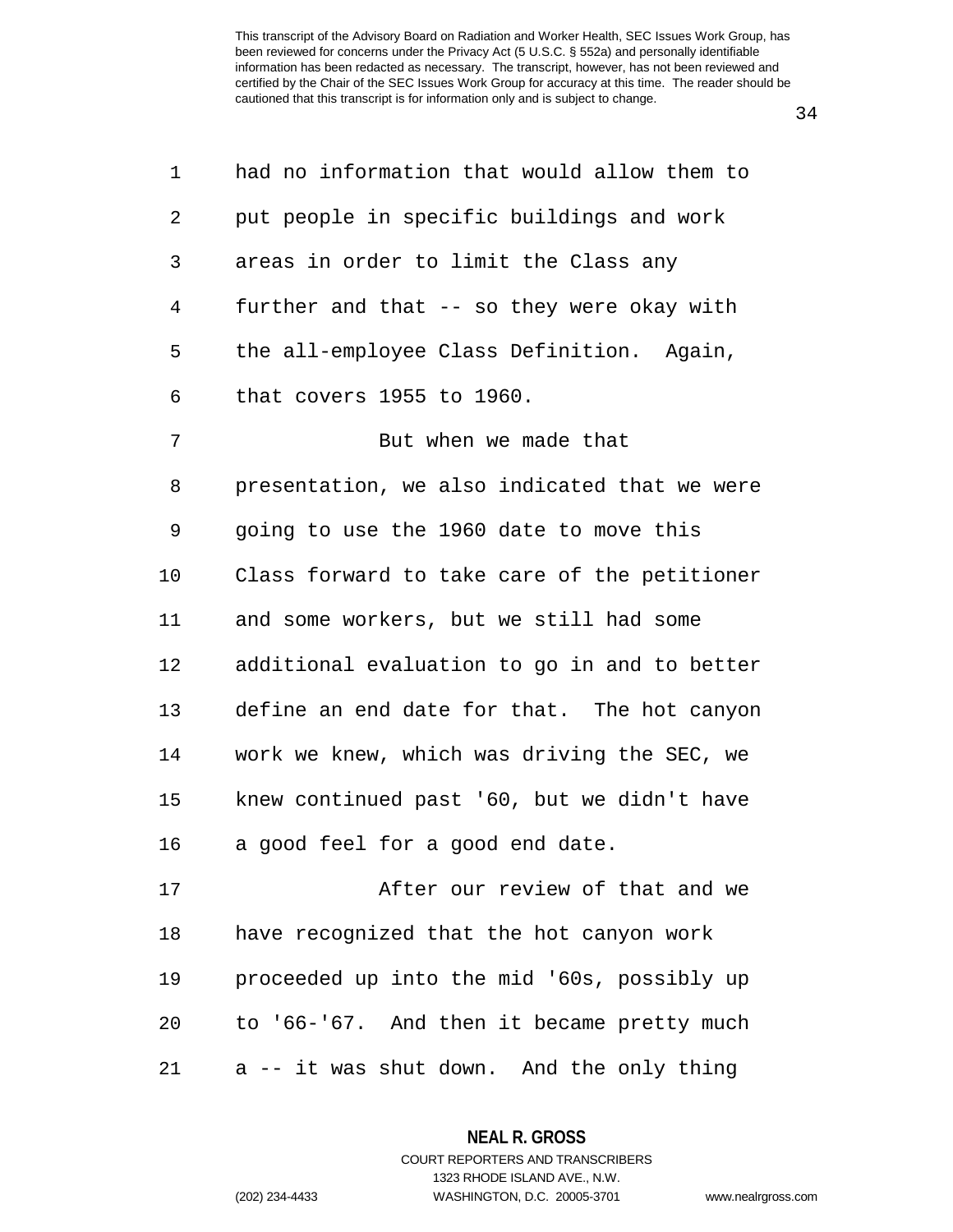34

| 1  | had no information that would allow them to  |
|----|----------------------------------------------|
| 2  | put people in specific buildings and work    |
| 3  | areas in order to limit the Class any        |
| 4  | further and that -- so they were okay with   |
| 5  | the all-employee Class Definition. Again,    |
| 6  | that covers 1955 to 1960.                    |
| 7  | But when we made that                        |
| 8  | presentation, we also indicated that we were |
| 9  | going to use the 1960 date to move this      |
| 10 | Class forward to take care of the petitioner |
| 11 | and some workers, but we still had some      |
| 12 | additional evaluation to go in and to better |
| 13 | define an end date for that. The hot canyon  |
| 14 | work we knew, which was driving the SEC, we  |
| 15 | knew continued past '60, but we didn't have  |
| 16 | a good feel for a good end date.             |
| 17 | After our review of that and we              |
| 18 | have recognized that the hot canyon work     |
| 19 | proceeded up into the mid '60s, possibly up  |
| 20 | to '66-'67. And then it became pretty much   |
| 21 | a -- it was shut down. And the only thing    |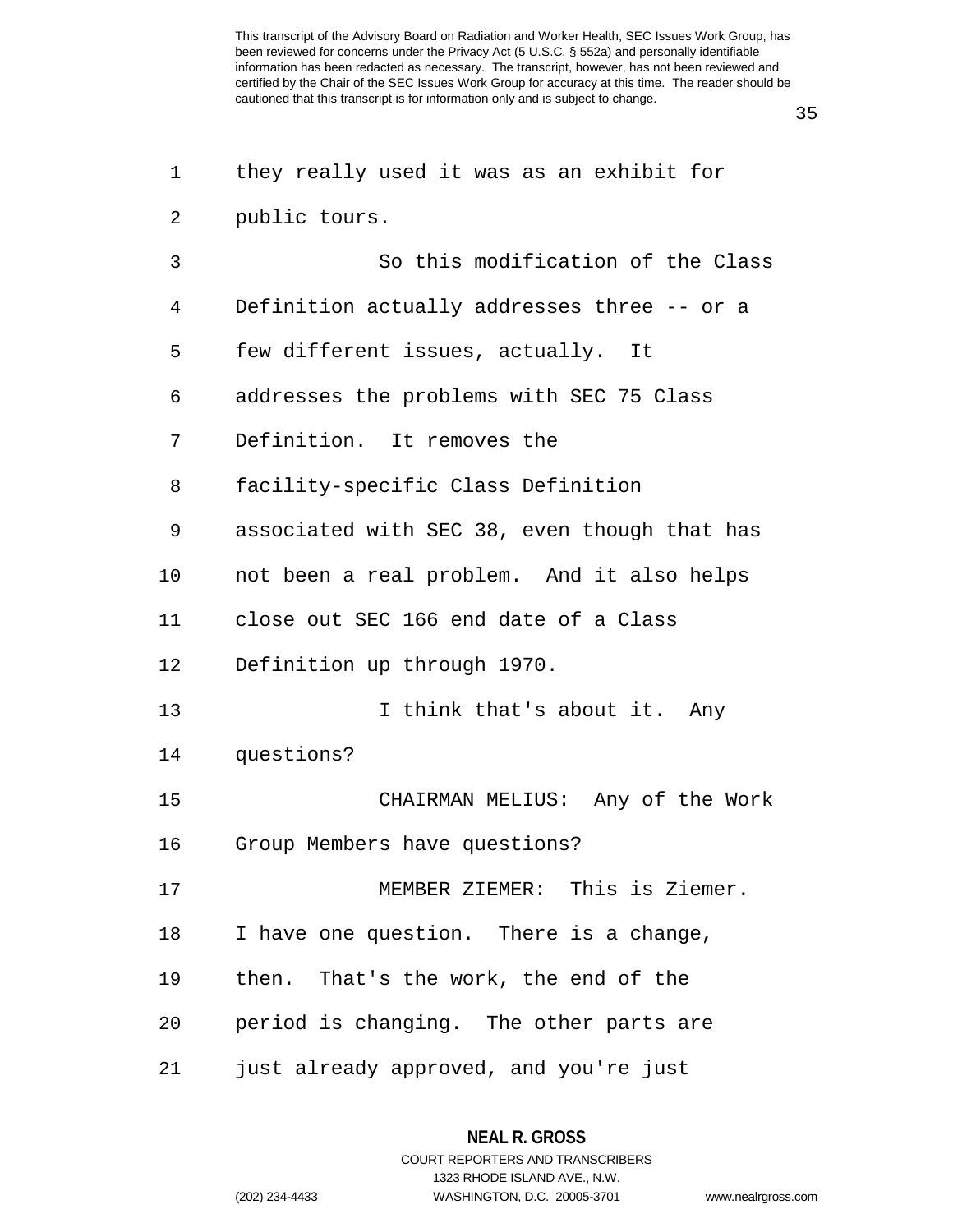35

| $\mathbf 1$ | they really used it was as an exhibit for    |
|-------------|----------------------------------------------|
| 2           | public tours.                                |
| 3           | So this modification of the Class            |
| 4           | Definition actually addresses three -- or a  |
| 5           | few different issues, actually. It           |
| 6           | addresses the problems with SEC 75 Class     |
| 7           | Definition. It removes the                   |
| 8           | facility-specific Class Definition           |
| 9           | associated with SEC 38, even though that has |
| 10          | not been a real problem. And it also helps   |
| 11          | close out SEC 166 end date of a Class        |
| 12          | Definition up through 1970.                  |
| 13          | I think that's about it. Any                 |
| 14          | questions?                                   |
| 15          | CHAIRMAN MELIUS: Any of the Work             |
| 16          | Group Members have questions?                |
| 17          | MEMBER ZIEMER: This is Ziemer.               |
| 18          | I have one question. There is a change,      |
| 19          | then. That's the work, the end of the        |
| 20          | period is changing. The other parts are      |
| 21          | just already approved, and you're just       |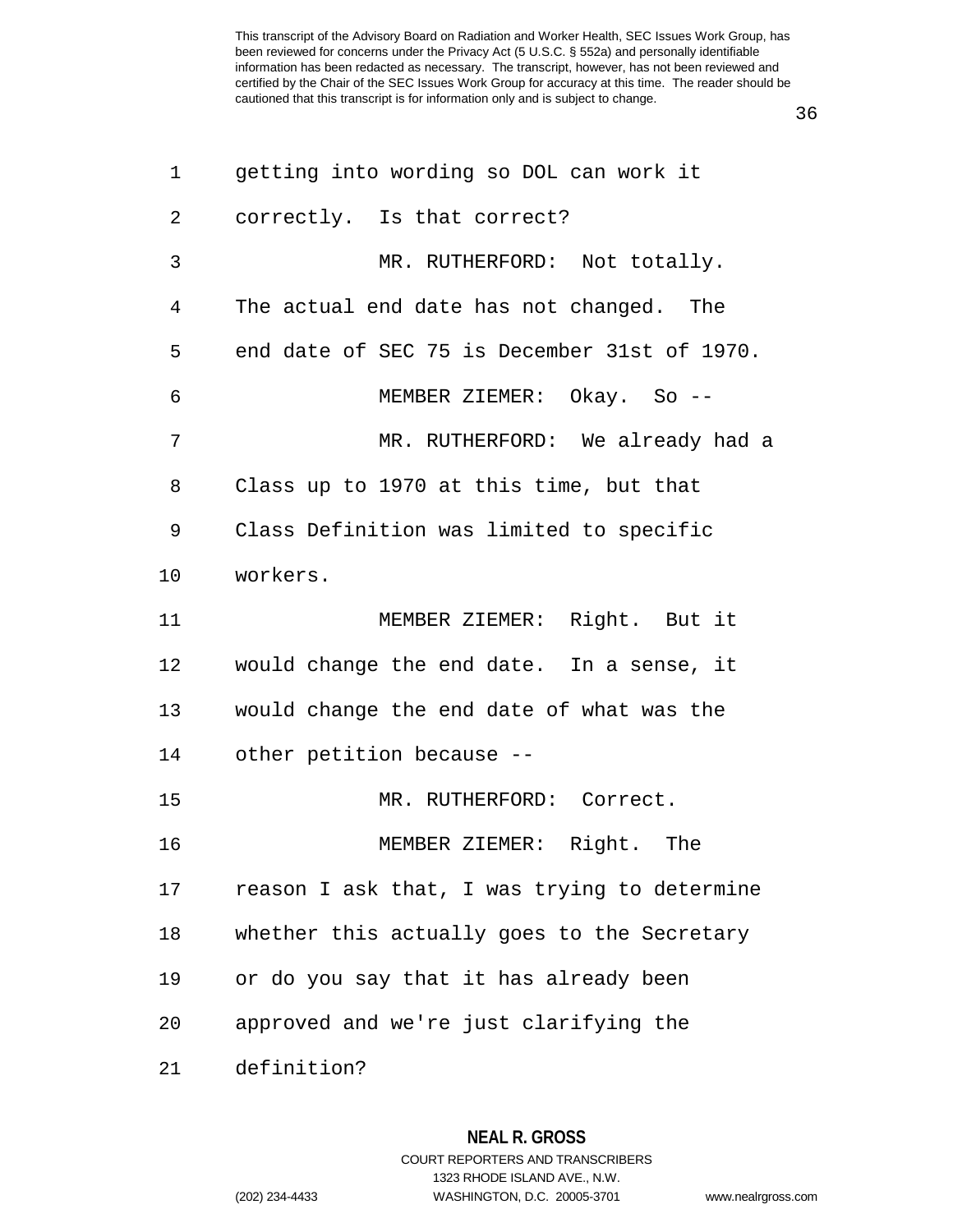| 1              | getting into wording so DOL can work it      |
|----------------|----------------------------------------------|
| $\overline{2}$ | correctly. Is that correct?                  |
| 3              | MR. RUTHERFORD: Not totally.                 |
| $\overline{4}$ | The actual end date has not changed. The     |
| 5              | end date of SEC 75 is December 31st of 1970. |
| 6              | MEMBER ZIEMER: Okay. So --                   |
| 7              | MR. RUTHERFORD: We already had a             |
| 8              | Class up to 1970 at this time, but that      |
| 9              | Class Definition was limited to specific     |
| 10             | workers.                                     |
| 11             | MEMBER ZIEMER: Right. But it                 |
| 12             | would change the end date. In a sense, it    |
| 13             | would change the end date of what was the    |
| 14             | other petition because --                    |
| 15             | MR. RUTHERFORD: Correct.                     |
| 16             | MEMBER ZIEMER: Right. The                    |
| 17             | reason I ask that, I was trying to determine |
| 18             | whether this actually goes to the Secretary  |
| 19             | or do you say that it has already been       |
| 20             | approved and we're just clarifying the       |
| 21             | definition?                                  |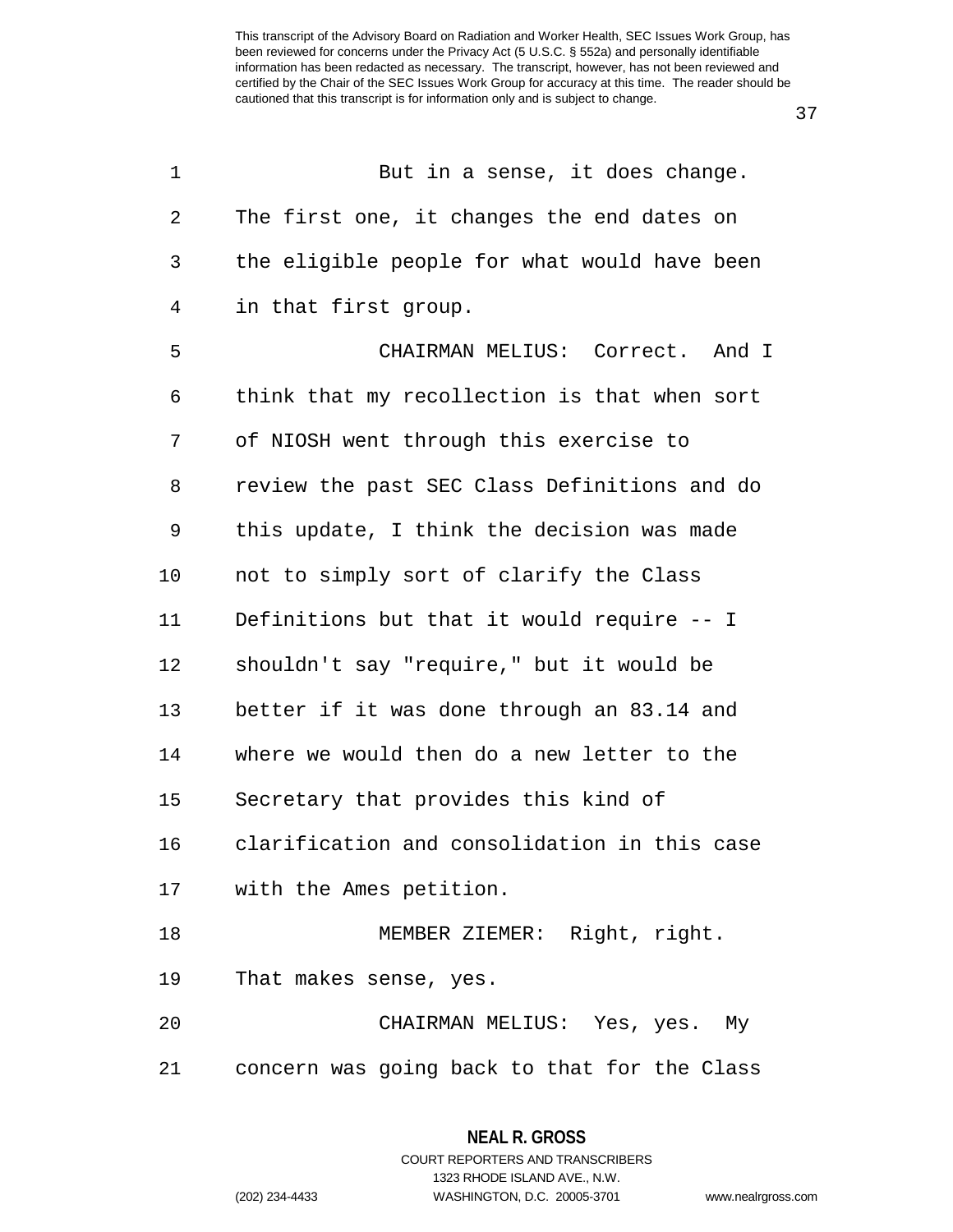37

| 1  | But in a sense, it does change.              |
|----|----------------------------------------------|
| 2  | The first one, it changes the end dates on   |
| 3  | the eligible people for what would have been |
| 4  | in that first group.                         |
| 5  | CHAIRMAN MELIUS: Correct. And I              |
| 6  | think that my recollection is that when sort |
| 7  | of NIOSH went through this exercise to       |
| 8  | review the past SEC Class Definitions and do |
| 9  | this update, I think the decision was made   |
| 10 | not to simply sort of clarify the Class      |
| 11 | Definitions but that it would require -- I   |
| 12 | shouldn't say "require," but it would be     |
| 13 | better if it was done through an 83.14 and   |
| 14 | where we would then do a new letter to the   |
| 15 | Secretary that provides this kind of         |
| 16 | clarification and consolidation in this case |
| 17 | with the Ames petition.                      |
| 18 | MEMBER ZIEMER: Right, right.                 |
| 19 | That makes sense, yes.                       |
| 20 | CHAIRMAN MELIUS: Yes, yes. My                |
| 21 | concern was going back to that for the Class |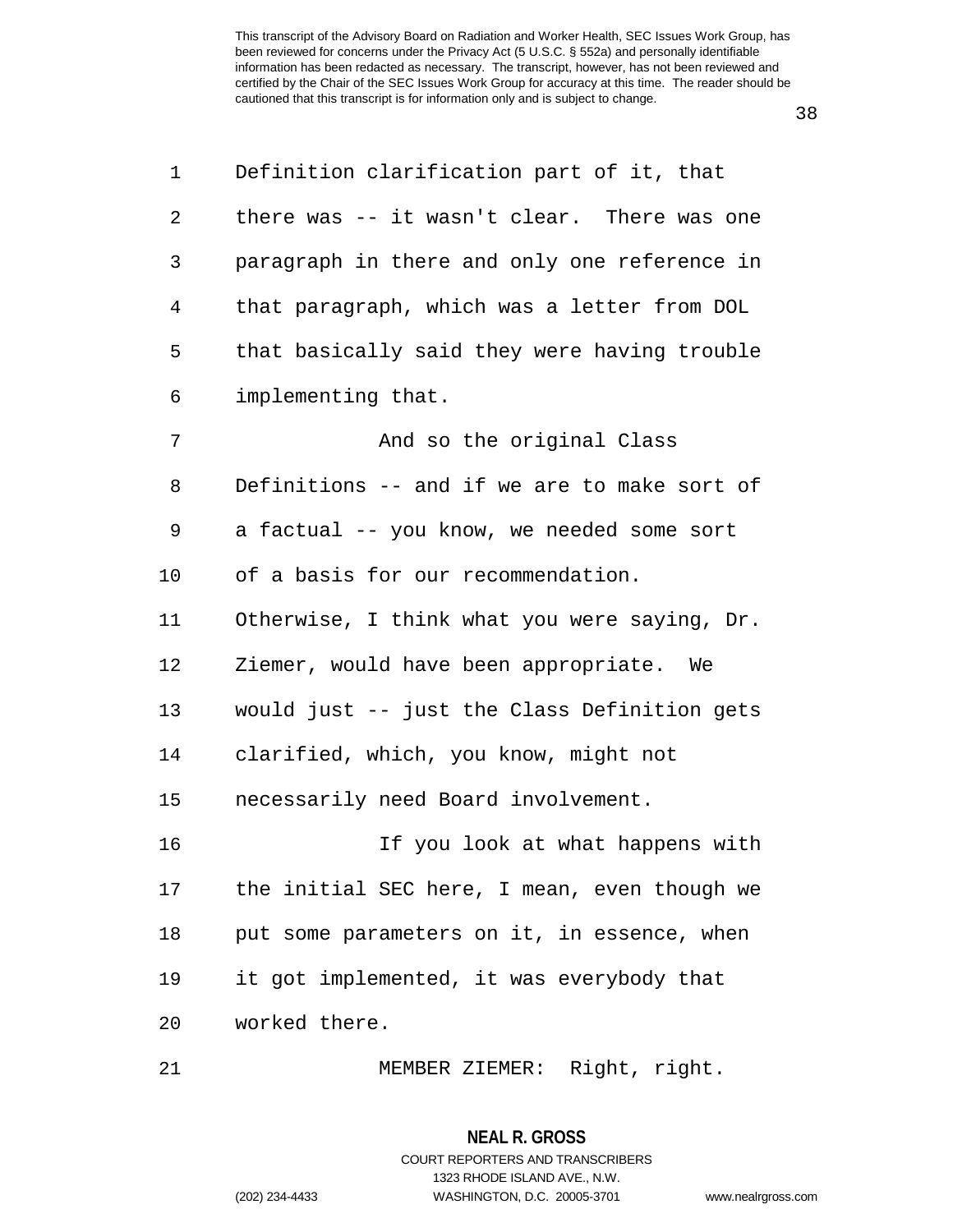38

| 1  | Definition clarification part of it, that    |
|----|----------------------------------------------|
| 2  | there was -- it wasn't clear. There was one  |
| 3  | paragraph in there and only one reference in |
| 4  | that paragraph, which was a letter from DOL  |
| 5  | that basically said they were having trouble |
| 6  | implementing that.                           |
| 7  | And so the original Class                    |
| 8  | Definitions -- and if we are to make sort of |
| 9  | a factual -- you know, we needed some sort   |
| 10 | of a basis for our recommendation.           |
| 11 | Otherwise, I think what you were saying, Dr. |
| 12 | Ziemer, would have been appropriate. We      |
| 13 | would just -- just the Class Definition gets |
| 14 | clarified, which, you know, might not        |
| 15 | necessarily need Board involvement.          |
| 16 | If you look at what happens with             |
| 17 | the initial SEC here, I mean, even though we |
| 18 | put some parameters on it, in essence, when  |
| 19 | it got implemented, it was everybody that    |
| 20 | worked there.                                |
|    |                                              |

21 MEMBER ZIEMER: Right, right.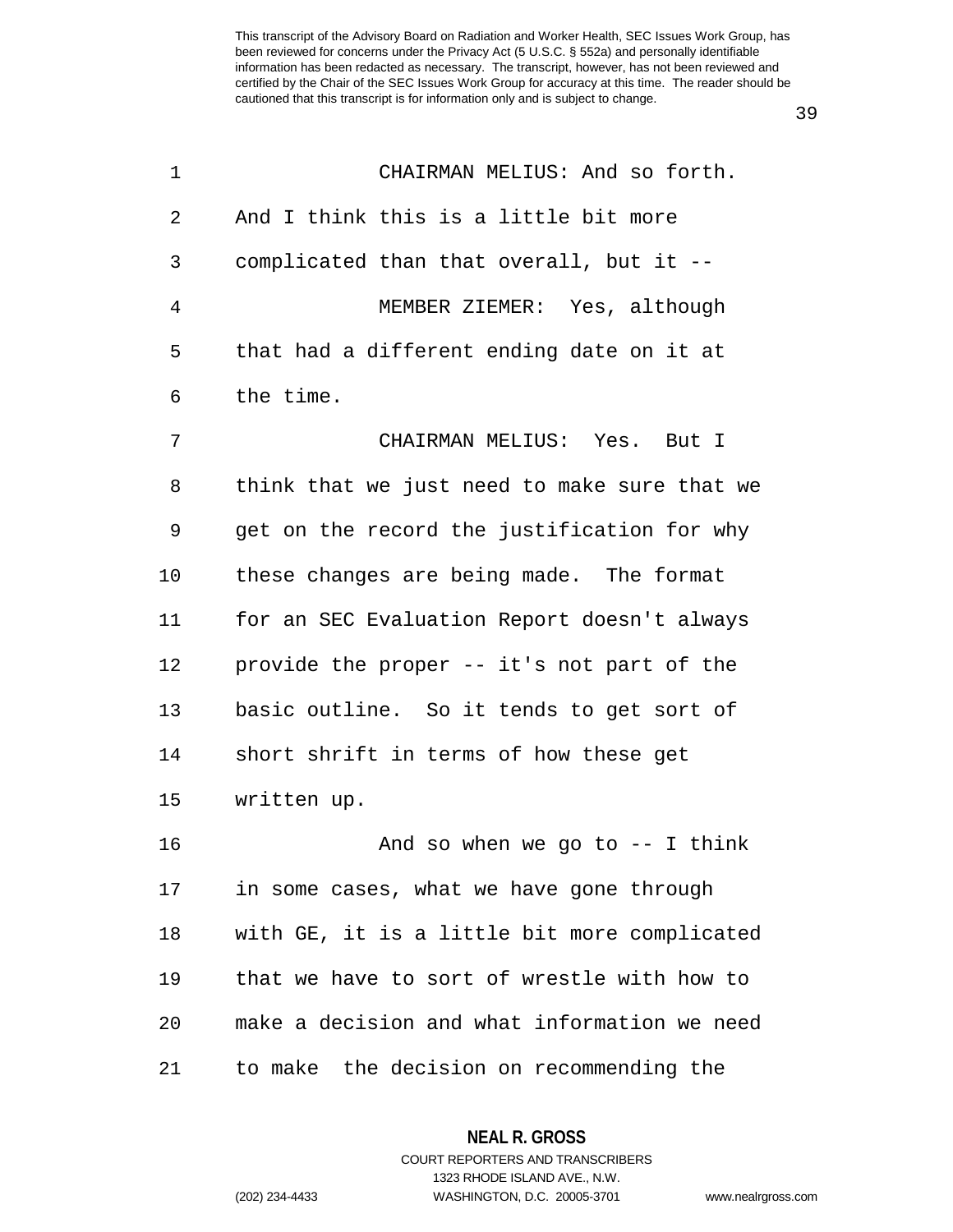39

| $\mathbf 1$    | CHAIRMAN MELIUS: And so forth.               |
|----------------|----------------------------------------------|
| 2              | And I think this is a little bit more        |
| 3              | complicated than that overall, but it --     |
| $\overline{4}$ | MEMBER ZIEMER: Yes, although                 |
| 5              | that had a different ending date on it at    |
| 6              | the time.                                    |
| 7              | CHAIRMAN MELIUS: Yes. But I                  |
| 8              | think that we just need to make sure that we |
| 9              | get on the record the justification for why  |
| 10             | these changes are being made. The format     |
| 11             | for an SEC Evaluation Report doesn't always  |
| 12             | provide the proper -- it's not part of the   |
| 13             | basic outline. So it tends to get sort of    |
| 14             | short shrift in terms of how these get       |
| 15             | written up.                                  |
| 16             | And so when we go to $-$ I think             |
| 17             | in some cases, what we have gone through     |
| 18             | with GE, it is a little bit more complicated |
| 19             | that we have to sort of wrestle with how to  |
| 20             | make a decision and what information we need |
| 21             | to make the decision on recommending the     |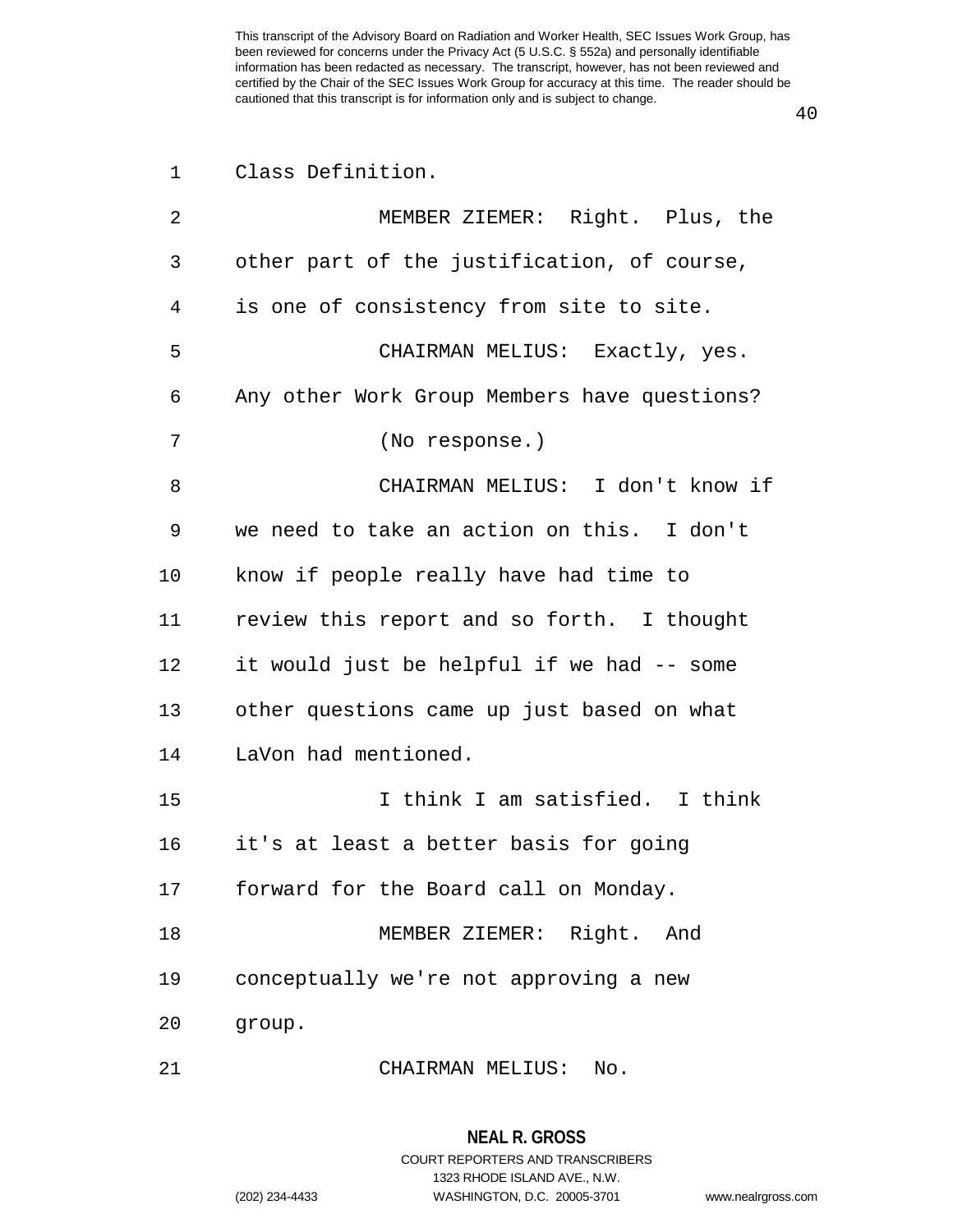| 1              | Class Definition.                            |
|----------------|----------------------------------------------|
| $\overline{2}$ | MEMBER ZIEMER: Right. Plus, the              |
| 3              | other part of the justification, of course,  |
| 4              | is one of consistency from site to site.     |
| 5              | CHAIRMAN MELIUS: Exactly, yes.               |
| 6              | Any other Work Group Members have questions? |
| 7              | (No response.)                               |
| 8              | CHAIRMAN MELIUS: I don't know if             |
| 9              | we need to take an action on this. I don't   |
| 10             | know if people really have had time to       |
| 11             | review this report and so forth. I thought   |
| 12             | it would just be helpful if we had -- some   |
| 13             | other questions came up just based on what   |
| 14             | LaVon had mentioned.                         |
| 15             | I think I am satisfied. I think              |
| 16             | it's at least a better basis for going       |
| 17             | forward for the Board call on Monday.        |
| 18             | MEMBER ZIEMER: Right. And                    |
| 19             | conceptually we're not approving a new       |
| 20             | group.                                       |
| 21             | CHAIRMAN MELIUS:<br>No.                      |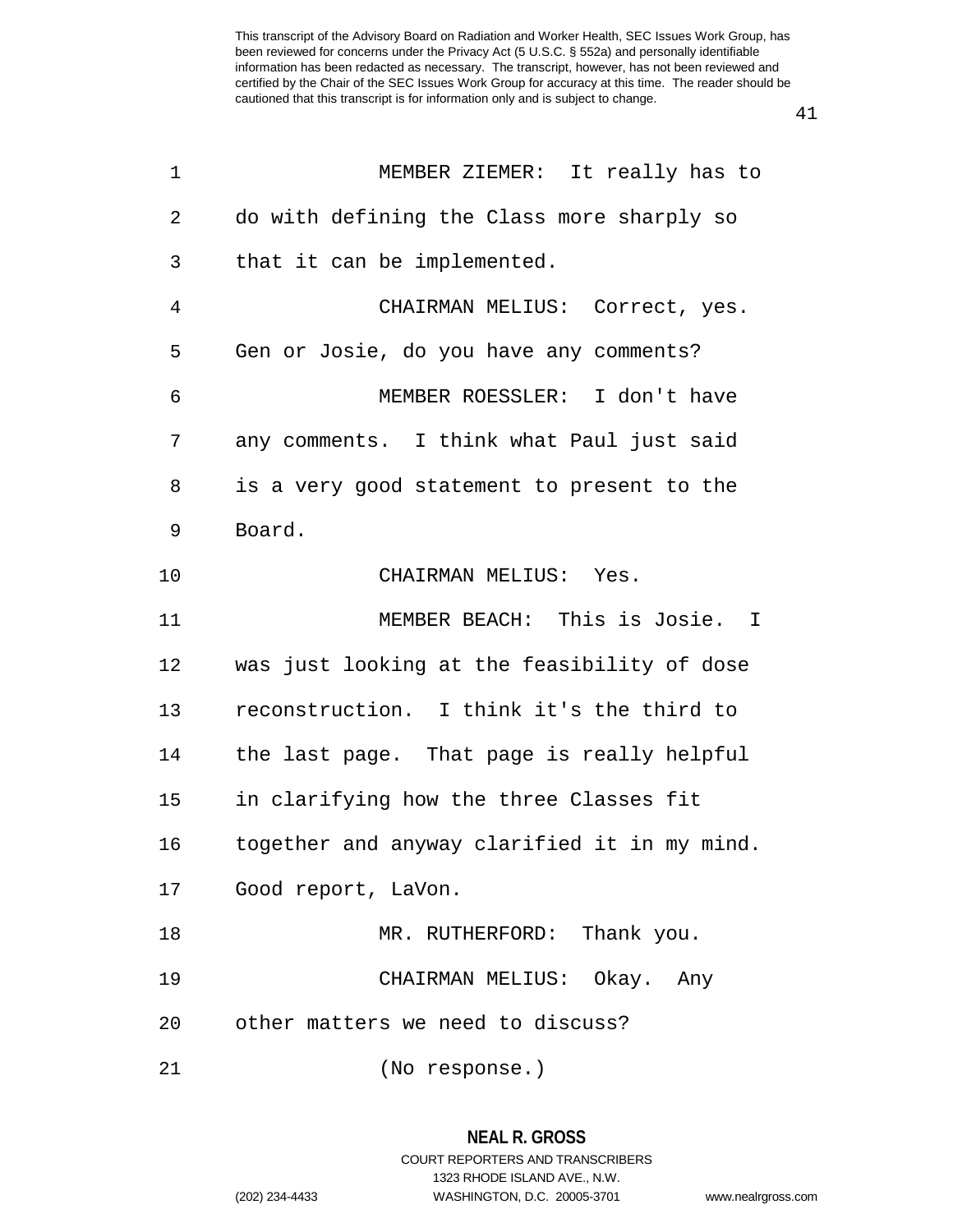| 1  | MEMBER ZIEMER: It really has to              |
|----|----------------------------------------------|
| 2  | do with defining the Class more sharply so   |
| 3  | that it can be implemented.                  |
| 4  | CHAIRMAN MELIUS: Correct, yes.               |
| 5  | Gen or Josie, do you have any comments?      |
| 6  | MEMBER ROESSLER: I don't have                |
| 7  | any comments. I think what Paul just said    |
| 8  | is a very good statement to present to the   |
| 9  | Board.                                       |
| 10 | CHAIRMAN MELIUS: Yes.                        |
| 11 | MEMBER BEACH: This is Josie. I               |
| 12 | was just looking at the feasibility of dose  |
| 13 | reconstruction. I think it's the third to    |
| 14 | the last page. That page is really helpful   |
| 15 | in clarifying how the three Classes fit      |
| 16 | together and anyway clarified it in my mind. |
|    | 17 Good report, LaVon.                       |
| 18 | MR. RUTHERFORD: Thank you.                   |
| 19 | CHAIRMAN MELIUS: Okay. Any                   |
| 20 | other matters we need to discuss?            |
| 21 | (No response.)                               |